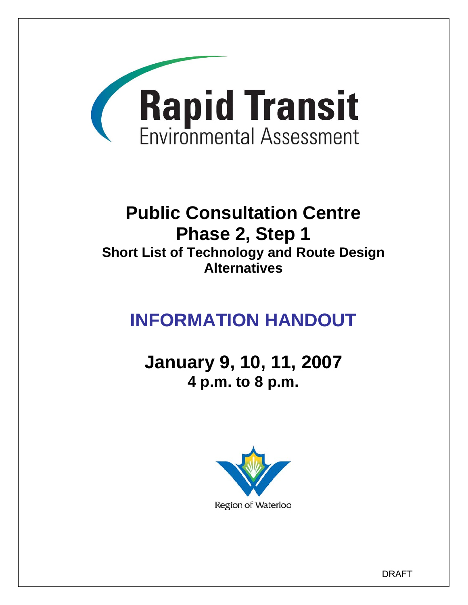

# **Public Consultation Centre Phase 2, Step 1 Short List of Technology and Route Design Alternatives**

# **INFORMATION HANDOUT**

**January 9, 10, 11, 2007 4 p.m. to 8 p.m.** 



DRAFT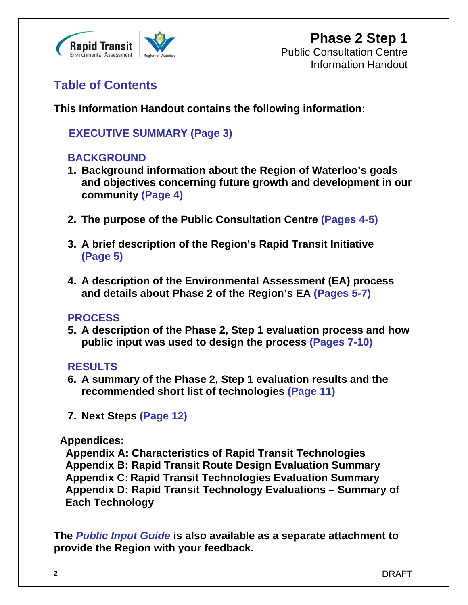

### **Table of Contents**

**This Information Handout contains the following information:** 

### **EXECUTIVE SUMMARY (Page 3)**

### **BACKGROUND**

- **1. Background information about the Region of Waterloo's goals and objectives concerning future growth and development in our community (Page 4)**
- **2. The purpose of the Public Consultation Centre (Pages 4-5)**
- **3. A brief description of the Region's Rapid Transit Initiative (Page 5)**
- **4. A description of the Environmental Assessment (EA) process and details about Phase 2 of the Region's EA (Pages 5-7)**

### **PROCESS**

**5. A description of the Phase 2, Step 1 evaluation process and how public input was used to design the process (Pages 7-10)**

### **RESULTS**

- **6. A summary of the Phase 2, Step 1 evaluation results and the recommended short list of technologies (Page 11)**
- **7. Next Steps (Page 12)**

### **Appendices:**

 **Appendix A: Characteristics of Rapid Transit Technologies Appendix B: Rapid Transit Route Design Evaluation Summary Appendix C: Rapid Transit Technologies Evaluation Summary Appendix D: Rapid Transit Technology Evaluations – Summary of Each Technology** 

**The** *Public Input Guide* **is also available as a separate attachment to provide the Region with your feedback.**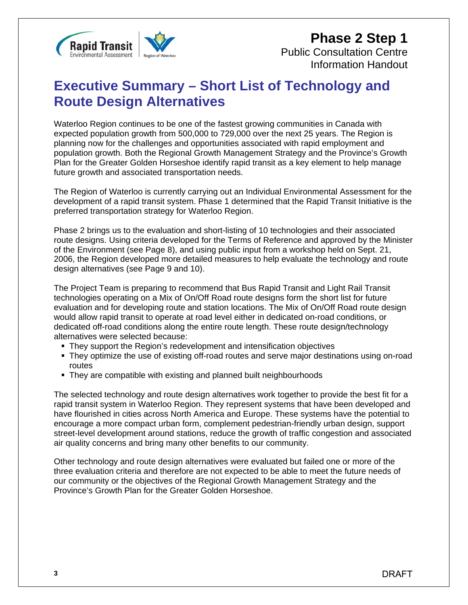

## **Executive Summary – Short List of Technology and Route Design Alternatives**

Waterloo Region continues to be one of the fastest growing communities in Canada with expected population growth from 500,000 to 729,000 over the next 25 years. The Region is planning now for the challenges and opportunities associated with rapid employment and population growth. Both the Regional Growth Management Strategy and the Province's Growth Plan for the Greater Golden Horseshoe identify rapid transit as a key element to help manage future growth and associated transportation needs.

The Region of Waterloo is currently carrying out an Individual Environmental Assessment for the development of a rapid transit system. Phase 1 determined that the Rapid Transit Initiative is the preferred transportation strategy for Waterloo Region.

Phase 2 brings us to the evaluation and short-listing of 10 technologies and their associated route designs. Using criteria developed for the Terms of Reference and approved by the Minister of the Environment (see Page 8), and using public input from a workshop held on Sept. 21, 2006, the Region developed more detailed measures to help evaluate the technology and route design alternatives (see Page 9 and 10).

The Project Team is preparing to recommend that Bus Rapid Transit and Light Rail Transit technologies operating on a Mix of On/Off Road route designs form the short list for future evaluation and for developing route and station locations. The Mix of On/Off Road route design would allow rapid transit to operate at road level either in dedicated on-road conditions, or dedicated off-road conditions along the entire route length. These route design/technology alternatives were selected because:

- They support the Region's redevelopment and intensification objectives
- They optimize the use of existing off-road routes and serve major destinations using on-road routes
- They are compatible with existing and planned built neighbourhoods

The selected technology and route design alternatives work together to provide the best fit for a rapid transit system in Waterloo Region. They represent systems that have been developed and have flourished in cities across North America and Europe. These systems have the potential to encourage a more compact urban form, complement pedestrian-friendly urban design, support street-level development around stations, reduce the growth of traffic congestion and associated air quality concerns and bring many other benefits to our community.

Other technology and route design alternatives were evaluated but failed one or more of the three evaluation criteria and therefore are not expected to be able to meet the future needs of our community or the objectives of the Regional Growth Management Strategy and the Province's Growth Plan for the Greater Golden Horseshoe.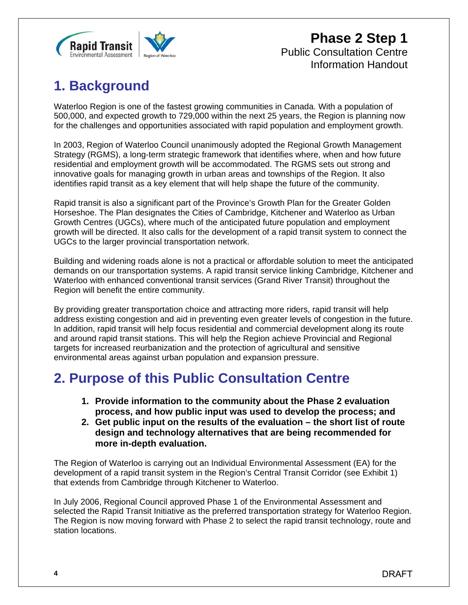

## **1. Background**

Waterloo Region is one of the fastest growing communities in Canada. With a population of 500,000, and expected growth to 729,000 within the next 25 years, the Region is planning now for the challenges and opportunities associated with rapid population and employment growth.

In 2003, Region of Waterloo Council unanimously adopted the Regional Growth Management Strategy (RGMS), a long-term strategic framework that identifies where, when and how future residential and employment growth will be accommodated. The RGMS sets out strong and innovative goals for managing growth in urban areas and townships of the Region. It also identifies rapid transit as a key element that will help shape the future of the community.

Rapid transit is also a significant part of the Province's Growth Plan for the Greater Golden Horseshoe. The Plan designates the Cities of Cambridge, Kitchener and Waterloo as Urban Growth Centres (UGCs), where much of the anticipated future population and employment growth will be directed. It also calls for the development of a rapid transit system to connect the UGCs to the larger provincial transportation network.

Building and widening roads alone is not a practical or affordable solution to meet the anticipated demands on our transportation systems. A rapid transit service linking Cambridge, Kitchener and Waterloo with enhanced conventional transit services (Grand River Transit) throughout the Region will benefit the entire community.

By providing greater transportation choice and attracting more riders, rapid transit will help address existing congestion and aid in preventing even greater levels of congestion in the future. In addition, rapid transit will help focus residential and commercial development along its route and around rapid transit stations. This will help the Region achieve Provincial and Regional targets for increased reurbanization and the protection of agricultural and sensitive environmental areas against urban population and expansion pressure.

## **2. Purpose of this Public Consultation Centre**

- **1. Provide information to the community about the Phase 2 evaluation process, and how public input was used to develop the process; and**
- **2. Get public input on the results of the evaluation the short list of route design and technology alternatives that are being recommended for more in-depth evaluation.**

The Region of Waterloo is carrying out an Individual Environmental Assessment (EA) for the development of a rapid transit system in the Region's Central Transit Corridor (see Exhibit 1) that extends from Cambridge through Kitchener to Waterloo.

In July 2006, Regional Council approved Phase 1 of the Environmental Assessment and selected the Rapid Transit Initiative as the preferred transportation strategy for Waterloo Region. The Region is now moving forward with Phase 2 to select the rapid transit technology, route and station locations.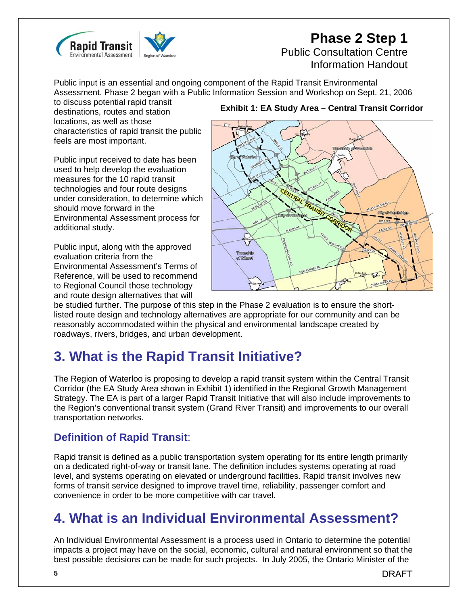

# **Phase 2 Step 1**

### Public Consultation Centre Information Handout

Public input is an essential and ongoing component of the Rapid Transit Environmental Assessment. Phase 2 began with a Public Information Session and Workshop on Sept. 21, 2006

to discuss potential rapid transit destinations, routes and station locations, as well as those characteristics of rapid transit the public feels are most important.

Public input received to date has been used to help develop the evaluation measures for the 10 rapid transit technologies and four route designs under consideration, to determine which should move forward in the Environmental Assessment process for additional study.

Public input, along with the approved evaluation criteria from the Environmental Assessment's Terms of Reference, will be used to recommend to Regional Council those technology and route design alternatives that will

#### **Exhibit 1: EA Study Area – Central Transit Corridor**



be studied further. The purpose of this step in the Phase 2 evaluation is to ensure the shortlisted route design and technology alternatives are appropriate for our community and can be reasonably accommodated within the physical and environmental landscape created by roadways, rivers, bridges, and urban development.

## **3. What is the Rapid Transit Initiative?**

The Region of Waterloo is proposing to develop a rapid transit system within the Central Transit Corridor (the EA Study Area shown in Exhibit 1) identified in the Regional Growth Management Strategy. The EA is part of a larger Rapid Transit Initiative that will also include improvements to the Region's conventional transit system (Grand River Transit) and improvements to our overall transportation networks.

### **Definition of Rapid Transit**:

Rapid transit is defined as a public transportation system operating for its entire length primarily on a dedicated right-of-way or transit lane. The definition includes systems operating at road level, and systems operating on elevated or underground facilities. Rapid transit involves new forms of transit service designed to improve travel time, reliability, passenger comfort and convenience in order to be more competitive with car travel.

## **4. What is an Individual Environmental Assessment?**

An Individual Environmental Assessment is a process used in Ontario to determine the potential impacts a project may have on the social, economic, cultural and natural environment so that the best possible decisions can be made for such projects. In July 2005, the Ontario Minister of the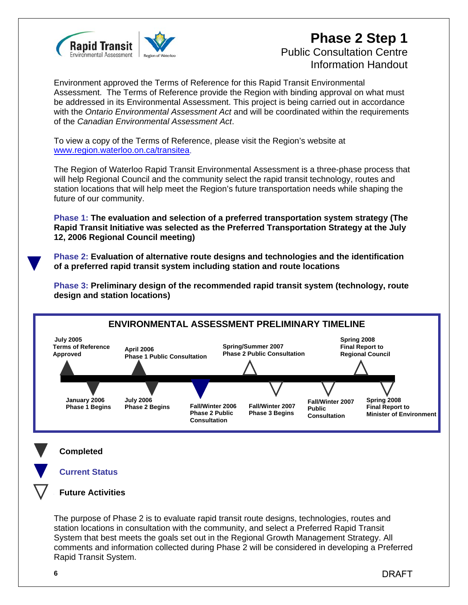

### **Phase 2 Step 1** Public Consultation Centre Information Handout

Environment approved the Terms of Reference for this Rapid Transit Environmental Assessment. The Terms of Reference provide the Region with binding approval on what must be addressed in its Environmental Assessment. This project is being carried out in accordance with the *Ontario Environmental Assessment Act* and will be coordinated within the requirements of the *Canadian Environmental Assessment Act*.

To view a copy of the Terms of Reference, please visit the Region's website at www.region.waterloo.on.ca/transitea.

The Region of Waterloo Rapid Transit Environmental Assessment is a three-phase process that will help Regional Council and the community select the rapid transit technology, routes and station locations that will help meet the Region's future transportation needs while shaping the future of our community.

**Phase 1: The evaluation and selection of a preferred transportation system strategy (The Rapid Transit Initiative was selected as the Preferred Transportation Strategy at the July 12, 2006 Regional Council meeting)** 

**Phase 2: Evaluation of alternative route designs and technologies and the identification of a preferred rapid transit system including station and route locations** 

**Phase 3: Preliminary design of the recommended rapid transit system (technology, route design and station locations)** 



DRAFT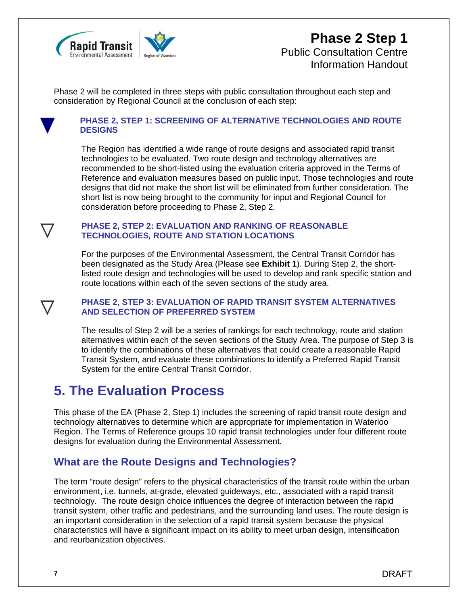

### **Phase 2 Step 1** Public Consultation Centre Information Handout

Phase 2 will be completed in three steps with public consultation throughout each step and consideration by Regional Council at the conclusion of each step:



#### **PHASE 2, STEP 1: SCREENING OF ALTERNATIVE TECHNOLOGIES AND ROUTE DESIGNS**

The Region has identified a wide range of route designs and associated rapid transit technologies to be evaluated. Two route design and technology alternatives are recommended to be short-listed using the evaluation criteria approved in the Terms of Reference and evaluation measures based on public input. Those technologies and route designs that did not make the short list will be eliminated from further consideration. The short list is now being brought to the community for input and Regional Council for consideration before proceeding to Phase 2, Step 2.

#### **PHASE 2, STEP 2: EVALUATION AND RANKING OF REASONABLE TECHNOLOGIES***,* **ROUTE AND STATION LOCATIONS**

For the purposes of the Environmental Assessment, the Central Transit Corridor has been designated as the Study Area (Please see **Exhibit 1**). During Step 2, the shortlisted route design and technologies will be used to develop and rank specific station and route locations within each of the seven sections of the study area.

#### **PHASE 2, STEP 3: EVALUATION OF RAPID TRANSIT SYSTEM ALTERNATIVES AND SELECTION OF PREFERRED SYSTEM**

The results of Step 2 will be a series of rankings for each technology, route and station alternatives within each of the seven sections of the Study Area. The purpose of Step 3 is to identify the combinations of these alternatives that could create a reasonable Rapid Transit System, and evaluate these combinations to identify a Preferred Rapid Transit System for the entire Central Transit Corridor.

## **5. The Evaluation Process**

This phase of the EA (Phase 2, Step 1) includes the screening of rapid transit route design and technology alternatives to determine which are appropriate for implementation in Waterloo Region. The Terms of Reference groups 10 rapid transit technologies under four different route designs for evaluation during the Environmental Assessment.

### **What are the Route Designs and Technologies?**

The term "route design" refers to the physical characteristics of the transit route within the urban environment, i.e. tunnels, at-grade, elevated guideways, etc., associated with a rapid transit technology. The route design choice influences the degree of interaction between the rapid transit system, other traffic and pedestrians, and the surrounding land uses. The route design is an important consideration in the selection of a rapid transit system because the physical characteristics will have a significant impact on its ability to meet urban design, intensification and reurbanization objectives.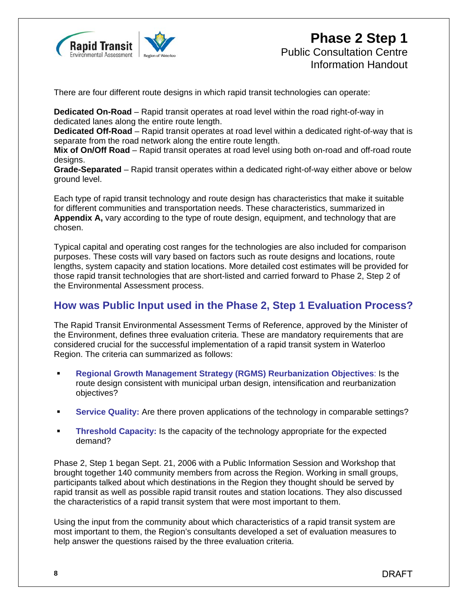

There are four different route designs in which rapid transit technologies can operate:

**Dedicated On-Road** – Rapid transit operates at road level within the road right-of-way in dedicated lanes along the entire route length.

**Dedicated Off-Road** – Rapid transit operates at road level within a dedicated right-of-way that is separate from the road network along the entire route length.

**Mix of On/Off Road** – Rapid transit operates at road level using both on-road and off-road route designs.

**Grade-Separated** – Rapid transit operates within a dedicated right-of-way either above or below ground level.

Each type of rapid transit technology and route design has characteristics that make it suitable for different communities and transportation needs. These characteristics, summarized in **Appendix A,** vary according to the type of route design, equipment, and technology that are chosen.

Typical capital and operating cost ranges for the technologies are also included for comparison purposes. These costs will vary based on factors such as route designs and locations, route lengths, system capacity and station locations. More detailed cost estimates will be provided for those rapid transit technologies that are short-listed and carried forward to Phase 2, Step 2 of the Environmental Assessment process.

### **How was Public Input used in the Phase 2, Step 1 Evaluation Process?**

The Rapid Transit Environmental Assessment Terms of Reference, approved by the Minister of the Environment, defines three evaluation criteria. These are mandatory requirements that are considered crucial for the successful implementation of a rapid transit system in Waterloo Region. The criteria can summarized as follows:

- **Regional Growth Management Strategy (RGMS) Reurbanization Objectives**: Is the route design consistent with municipal urban design, intensification and reurbanization objectives?
- **Service Quality:** Are there proven applications of the technology in comparable settings?
- **Threshold Capacity:** Is the capacity of the technology appropriate for the expected demand?

Phase 2, Step 1 began Sept. 21, 2006 with a Public Information Session and Workshop that brought together 140 community members from across the Region. Working in small groups, participants talked about which destinations in the Region they thought should be served by rapid transit as well as possible rapid transit routes and station locations. They also discussed the characteristics of a rapid transit system that were most important to them.

Using the input from the community about which characteristics of a rapid transit system are most important to them, the Region's consultants developed a set of evaluation measures to help answer the questions raised by the three evaluation criteria.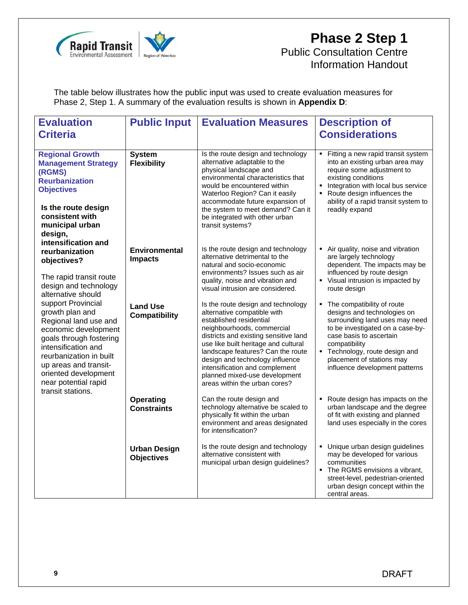

### **Phase 2 Step 1** Public Consultation Centre Information Handout

The table below illustrates how the public input was used to create evaluation measures for Phase 2, Step 1. A summary of the evaluation results is shown in **Appendix D**:

| <b>Evaluation</b><br><b>Criteria</b>                                                                                                                                                                                                         | <b>Public Input</b>                      | <b>Evaluation Measures</b>                                                                                                                                                                                                                                                                                                                                                              | <b>Description of</b><br><b>Considerations</b>                                                                                                                                                                                                                              |
|----------------------------------------------------------------------------------------------------------------------------------------------------------------------------------------------------------------------------------------------|------------------------------------------|-----------------------------------------------------------------------------------------------------------------------------------------------------------------------------------------------------------------------------------------------------------------------------------------------------------------------------------------------------------------------------------------|-----------------------------------------------------------------------------------------------------------------------------------------------------------------------------------------------------------------------------------------------------------------------------|
| <b>Regional Growth</b><br><b>Management Strategy</b><br>(RGMS)<br>Reurbanization<br><b>Objectives</b><br>Is the route design<br>consistent with<br>municipal urban<br>design,                                                                | <b>System</b><br><b>Flexibility</b>      | Is the route design and technology<br>alternative adaptable to the<br>physical landscape and<br>environmental characteristics that<br>would be encountered within<br>Waterloo Region? Can it easily<br>accommodate future expansion of<br>the system to meet demand? Can it<br>be integrated with other urban<br>transit systems?                                                       | Fitting a new rapid transit system<br>$\blacksquare$<br>into an existing urban area may<br>require some adjustment to<br>existing conditions<br>Integration with local bus service<br>Route design influences the<br>ability of a rapid transit system to<br>readily expand |
| intensification and<br>reurbanization<br>objectives?<br>The rapid transit route<br>design and technology<br>alternative should                                                                                                               | <b>Environmental</b><br><b>Impacts</b>   | Is the route design and technology<br>alternative detrimental to the<br>natural and socio-economic<br>environments? Issues such as air<br>quality, noise and vibration and<br>visual intrusion are considered.                                                                                                                                                                          | Air quality, noise and vibration<br>are largely technology<br>dependent. The impacts may be<br>influenced by route design<br>Visual intrusion is impacted by<br>route design                                                                                                |
| support Provincial<br>growth plan and<br>Regional land use and<br>economic development<br>goals through fostering<br>intensification and<br>reurbanization in built<br>up areas and transit-<br>oriented development<br>near potential rapid | <b>Land Use</b><br><b>Compatibility</b>  | Is the route design and technology<br>alternative compatible with<br>established residential<br>neighbourhoods, commercial<br>districts and existing sensitive land<br>use like built heritage and cultural<br>landscape features? Can the route<br>design and technology influence<br>intensification and complement<br>planned mixed-use development<br>areas within the urban cores? | The compatibility of route<br>designs and technologies on<br>surrounding land uses may need<br>to be investigated on a case-by-<br>case basis to ascertain<br>compatibility<br>Technology, route design and<br>placement of stations may<br>influence development patterns  |
| transit stations.                                                                                                                                                                                                                            | <b>Operating</b><br><b>Constraints</b>   | Can the route design and<br>technology alternative be scaled to<br>physically fit within the urban<br>environment and areas designated<br>for intensification?                                                                                                                                                                                                                          | Route design has impacts on the<br>F<br>urban landscape and the degree<br>of fit with existing and planned<br>land uses especially in the cores                                                                                                                             |
|                                                                                                                                                                                                                                              | <b>Urban Design</b><br><b>Objectives</b> | Is the route design and technology<br>alternative consistent with<br>municipal urban design guidelines?                                                                                                                                                                                                                                                                                 | Unique urban design guidelines<br>٠<br>may be developed for various<br>communities<br>The RGMS envisions a vibrant,<br>street-level, pedestrian-oriented<br>urban design concept within the<br>central areas.                                                               |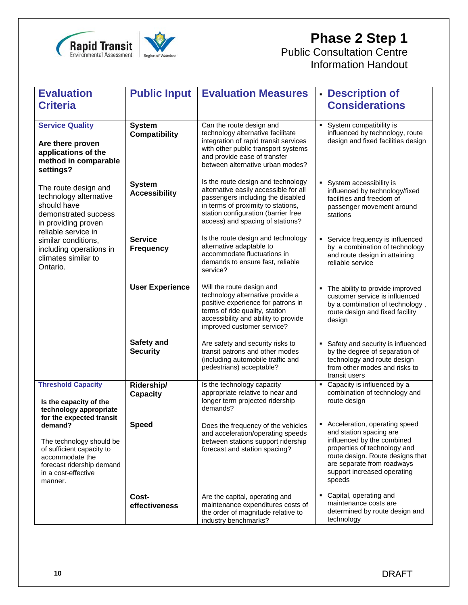

# **Phase 2 Step 1**

Public Consultation Centre Information Handout

| <b>Evaluation</b>                                                                                                                                  | <b>Public Input</b>                   | <b>Evaluation Measures</b>                                                                                                                                                                                                        | - Description of                                                                                                                                                                                                                  |
|----------------------------------------------------------------------------------------------------------------------------------------------------|---------------------------------------|-----------------------------------------------------------------------------------------------------------------------------------------------------------------------------------------------------------------------------------|-----------------------------------------------------------------------------------------------------------------------------------------------------------------------------------------------------------------------------------|
| <b>Criteria</b>                                                                                                                                    |                                       |                                                                                                                                                                                                                                   | <b>Considerations</b>                                                                                                                                                                                                             |
| <b>Service Quality</b><br>Are there proven<br>applications of the<br>method in comparable<br>settings?                                             | <b>System</b><br><b>Compatibility</b> | Can the route design and<br>technology alternative facilitate<br>integration of rapid transit services<br>with other public transport systems<br>and provide ease of transfer<br>between alternative urban modes?                 | System compatibility is<br>٠<br>influenced by technology, route<br>design and fixed facilities design                                                                                                                             |
| The route design and<br>technology alternative<br>should have<br>demonstrated success<br>in providing proven<br>reliable service in                | <b>System</b><br><b>Accessibility</b> | Is the route design and technology<br>alternative easily accessible for all<br>passengers including the disabled<br>in terms of proximity to stations,<br>station configuration (barrier free<br>access) and spacing of stations? | System accessibility is<br>٠<br>influenced by technology/fixed<br>facilities and freedom of<br>passenger movement around<br>stations                                                                                              |
| similar conditions,<br>including operations in<br>climates similar to<br>Ontario.                                                                  | <b>Service</b><br><b>Frequency</b>    | Is the route design and technology<br>alternative adaptable to<br>accommodate fluctuations in<br>demands to ensure fast, reliable<br>service?                                                                                     | Service frequency is influenced<br>by a combination of technology<br>and route design in attaining<br>reliable service                                                                                                            |
|                                                                                                                                                    | <b>User Experience</b>                | Will the route design and<br>technology alternative provide a<br>positive experience for patrons in<br>terms of ride quality, station<br>accessibility and ability to provide<br>improved customer service?                       | The ability to provide improved<br>customer service is influenced<br>by a combination of technology,<br>route design and fixed facility<br>design                                                                                 |
|                                                                                                                                                    | Safety and<br><b>Security</b>         | Are safety and security risks to<br>transit patrons and other modes<br>(including automobile traffic and<br>pedestrians) acceptable?                                                                                              | Safety and security is influenced<br>by the degree of separation of<br>technology and route design<br>from other modes and risks to<br>transit users                                                                              |
| <b>Threshold Capacity</b><br>Is the capacity of the<br>technology appropriate<br>for the expected transit                                          | Ridership/<br><b>Capacity</b>         | Is the technology capacity<br>appropriate relative to near and<br>longer term projected ridership<br>demands?                                                                                                                     | Capacity is influenced by a<br>combination of technology and<br>route design                                                                                                                                                      |
| demand?<br>The technology should be<br>of sufficient capacity to<br>accommodate the<br>forecast ridership demand<br>in a cost-effective<br>manner. | <b>Speed</b>                          | Does the frequency of the vehicles<br>and acceleration/operating speeds<br>between stations support ridership<br>forecast and station spacing?                                                                                    | Acceleration, operating speed<br>and station spacing are<br>influenced by the combined<br>properties of technology and<br>route design. Route designs that<br>are separate from roadways<br>support increased operating<br>speeds |
|                                                                                                                                                    | Cost-<br>effectiveness                | Are the capital, operating and<br>maintenance expenditures costs of<br>the order of magnitude relative to<br>industry benchmarks?                                                                                                 | Capital, operating and<br>maintenance costs are<br>determined by route design and<br>technology                                                                                                                                   |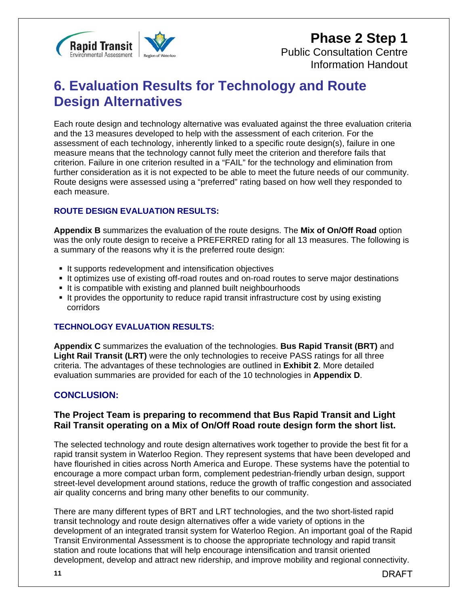

### **Phase 2 Step 1** Public Consultation Centre Information Handout

## **6. Evaluation Results for Technology and Route Design Alternatives**

Each route design and technology alternative was evaluated against the three evaluation criteria and the 13 measures developed to help with the assessment of each criterion. For the assessment of each technology, inherently linked to a specific route design(s), failure in one measure means that the technology cannot fully meet the criterion and therefore fails that criterion. Failure in one criterion resulted in a "FAIL" for the technology and elimination from further consideration as it is not expected to be able to meet the future needs of our community. Route designs were assessed using a "preferred" rating based on how well they responded to each measure.

#### **ROUTE DESIGN EVALUATION RESULTS:**

**Appendix B** summarizes the evaluation of the route designs. The **Mix of On/Off Road** option was the only route design to receive a PREFERRED rating for all 13 measures. The following is a summary of the reasons why it is the preferred route design:

- It supports redevelopment and intensification objectives
- It optimizes use of existing off-road routes and on-road routes to serve major destinations
- It is compatible with existing and planned built neighbourhoods
- It provides the opportunity to reduce rapid transit infrastructure cost by using existing corridors

#### **TECHNOLOGY EVALUATION RESULTS:**

**Appendix C** summarizes the evaluation of the technologies. **Bus Rapid Transit (BRT)** and **Light Rail Transit (LRT)** were the only technologies to receive PASS ratings for all three criteria. The advantages of these technologies are outlined in **Exhibit 2**. More detailed evaluation summaries are provided for each of the 10 technologies in **Appendix D**.

#### **CONCLUSION:**

#### **The Project Team is preparing to recommend that Bus Rapid Transit and Light Rail Transit operating on a Mix of On/Off Road route design form the short list.**

The selected technology and route design alternatives work together to provide the best fit for a rapid transit system in Waterloo Region. They represent systems that have been developed and have flourished in cities across North America and Europe. These systems have the potential to encourage a more compact urban form, complement pedestrian-friendly urban design, support street-level development around stations, reduce the growth of traffic congestion and associated air quality concerns and bring many other benefits to our community.

There are many different types of BRT and LRT technologies, and the two short-listed rapid transit technology and route design alternatives offer a wide variety of options in the development of an integrated transit system for Waterloo Region. An important goal of the Rapid Transit Environmental Assessment is to choose the appropriate technology and rapid transit station and route locations that will help encourage intensification and transit oriented development, develop and attract new ridership, and improve mobility and regional connectivity.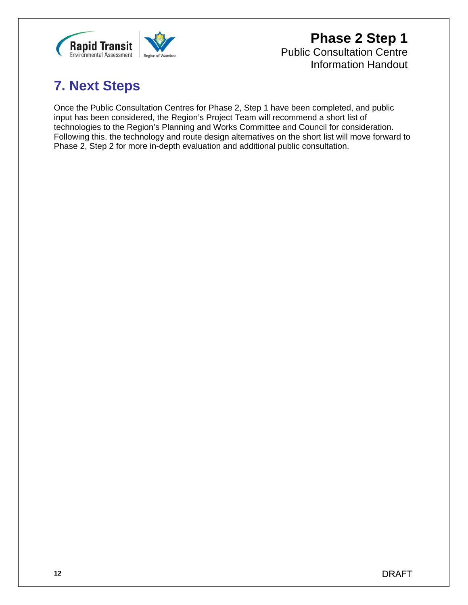

**Phase 2 Step 1** Public Consultation Centre Information Handout

# **7. Next Steps**

Once the Public Consultation Centres for Phase 2, Step 1 have been completed, and public input has been considered, the Region's Project Team will recommend a short list of technologies to the Region's Planning and Works Committee and Council for consideration. Following this, the technology and route design alternatives on the short list will move forward to Phase 2, Step 2 for more in-depth evaluation and additional public consultation.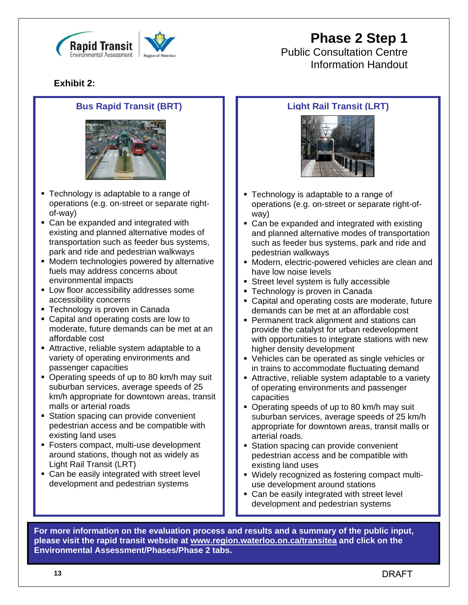



Public Consultation Centre Information Handout

### **Exhibit 2:**

#### **Bus Rapid Transit (BRT)**



- **Technology is adaptable to a range of** operations (e.g. on-street or separate rightof-way)
- Can be expanded and integrated with existing and planned alternative modes of transportation such as feeder bus systems, park and ride and pedestrian walkways
- **Modern technologies powered by alternative** fuels may address concerns about environmental impacts
- **Low floor accessibility addresses some** accessibility concerns
- Technology is proven in Canada
- Capital and operating costs are low to moderate, future demands can be met at an affordable cost
- Attractive, reliable system adaptable to a variety of operating environments and passenger capacities
- Operating speeds of up to 80 km/h may suit suburban services, average speeds of 25 km/h appropriate for downtown areas, transit malls or arterial roads
- **Station spacing can provide convenient** pedestrian access and be compatible with existing land uses
- **Fosters compact, multi-use development** around stations, though not as widely as Light Rail Transit (LRT)
- **Can be easily integrated with street level** development and pedestrian systems

### **Light Rail Transit (LRT)**



- **Technology is adaptable to a range of** operations (e.g. on-street or separate right-ofway)
- Can be expanded and integrated with existing and planned alternative modes of transportation such as feeder bus systems, park and ride and pedestrian walkways
- Modern, electric-powered vehicles are clean and have low noise levels
- **Street level system is fully accessible**
- **Technology is proven in Canada**
- Capital and operating costs are moderate, future demands can be met at an affordable cost
- **Permanent track alignment and stations can** provide the catalyst for urban redevelopment with opportunities to integrate stations with new higher density development
- Vehicles can be operated as single vehicles or in trains to accommodate fluctuating demand
- Attractive, reliable system adaptable to a variety of operating environments and passenger capacities
- Operating speeds of up to 80 km/h may suit suburban services, average speeds of 25 km/h appropriate for downtown areas, transit malls or arterial roads.
- **Station spacing can provide convenient** pedestrian access and be compatible with existing land uses
- Widely recognized as fostering compact multiuse development around stations
- Can be easily integrated with street level development and pedestrian systems

**For more information on the evaluation process and results and a summary of the public input, please visit the rapid transit website at www.region.waterloo.on.ca/transitea and click on the Environmental Assessment/Phases/Phase 2 tabs.**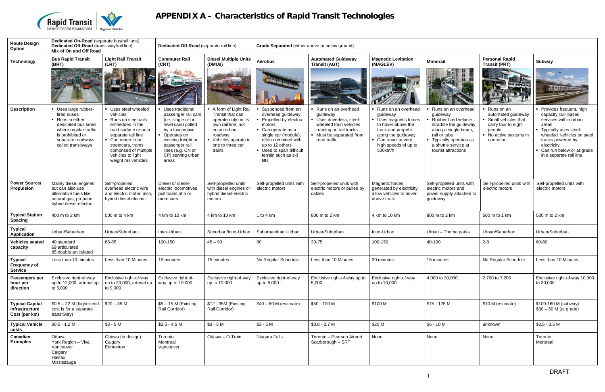

# **APPENDIX A – Characteristics of Rapid Transit Technologies**

| <b>Route Design</b><br>Option                             | Dedicated On-Road (separate bus/rail lane)<br>Dedicated Off-Road (transitway/rail line)<br>Mix of On and Off Road                                                    |                                                                                                                                                                                                                                         | Dedicated Off-Road (separate rail line)                                                                                                                                                                                     |                                                                                                                                                                      | Grade Separated (either above or below ground)                                                                                                                                                                               |                                                                                                                                                          |                                                                                                                                                                                     |                                                                                                                                                                                                    |                                                                                                                               |                                                                                                                                                                                                                                       |
|-----------------------------------------------------------|----------------------------------------------------------------------------------------------------------------------------------------------------------------------|-----------------------------------------------------------------------------------------------------------------------------------------------------------------------------------------------------------------------------------------|-----------------------------------------------------------------------------------------------------------------------------------------------------------------------------------------------------------------------------|----------------------------------------------------------------------------------------------------------------------------------------------------------------------|------------------------------------------------------------------------------------------------------------------------------------------------------------------------------------------------------------------------------|----------------------------------------------------------------------------------------------------------------------------------------------------------|-------------------------------------------------------------------------------------------------------------------------------------------------------------------------------------|----------------------------------------------------------------------------------------------------------------------------------------------------------------------------------------------------|-------------------------------------------------------------------------------------------------------------------------------|---------------------------------------------------------------------------------------------------------------------------------------------------------------------------------------------------------------------------------------|
| <b>Technology</b>                                         | <b>Bus Rapid Transit</b><br>(BRT)                                                                                                                                    | <b>Light Rail Transit</b><br>(LRT)                                                                                                                                                                                                      | <b>Commuter Rail</b><br>(CRT)                                                                                                                                                                                               | <b>Diesel Multiple Units</b><br>(DMUs)                                                                                                                               | <b>Aerobus</b>                                                                                                                                                                                                               | <b>Automated Guideway</b><br><b>Transit (AGT)</b>                                                                                                        | <b>Magnetic Levitation</b><br>(MAGLEV)                                                                                                                                              | <b>Monorail</b>                                                                                                                                                                                    | <b>Personal Rapid</b><br><b>Transit (PRT)</b>                                                                                 | Subway                                                                                                                                                                                                                                |
|                                                           |                                                                                                                                                                      |                                                                                                                                                                                                                                         | <b>SLATTE LOCKER</b>                                                                                                                                                                                                        |                                                                                                                                                                      |                                                                                                                                                                                                                              |                                                                                                                                                          |                                                                                                                                                                                     |                                                                                                                                                                                                    |                                                                                                                               | <b>HIMMER</b>                                                                                                                                                                                                                         |
| <b>Description</b>                                        | Uses large rubber-<br>tired buses<br>• Runs in either<br>dedicated bus lanes<br>where regular traffic<br>is prohibited or<br>separate roadways<br>called transitways | • Uses steel wheeled<br>vehicles<br>Runs on steel rails<br>embedded in the<br>road surface or on a<br>separate rail line<br>• Can range from<br>streetcars, trams<br>comprised of multiple<br>vehicles to light<br>weight rail vehicles | <b>Uses traditional</b><br>passenger rail cars<br>(i.e. single or bi-<br>level cars) pulled<br>by a locomotive<br>• Operates on<br>existing freight or<br>passenger rail<br>lines (e.g. CN or<br>CP) serving urban<br>areas | A form of Light Rail<br>Transit that can<br>operate only on its<br>own rail line, not<br>on an urban<br>roadway<br>Vehicles operate in<br>one to three car<br>trains | Suspended from an<br>overhead guideway<br>Propelled by electric<br>motors<br>• Can operate as a<br>single car (module)<br>often combined with<br>up to 12 others<br>• Used to span difficult<br>terrain such as ski<br>lifts | Runs on an overhead<br>guideway<br>Uses driverless, steel-<br>wheeled train vehicles<br>running on rail tracks<br>Must be separated from<br>road traffic | Runs on an overhead<br>guideway<br>Uses magnetic forces<br>to hover above the<br>track and propel it<br>along the guideway<br>Can travel at very<br>high speeds of up to<br>500km/h | Runs on an overhead<br>guideway<br>Rubber-tired vehicle<br>straddle the guideway<br>along a single beam,<br>rail or tube<br>• Typically operates as<br>a shuttle service at<br>tourist attractions | Runs on an<br>automated guideway<br>Small vehicles that<br>carry four to eight<br>people<br>No active systems in<br>operation | Provides frequent, high<br>capacity rail- based<br>services within urban<br>areas<br>- Typically uses steel-<br>wheeled vehicles on steel<br>tracks powered by<br>electricity<br>Can run below or at-grade<br>in a separate rail line |
| <b>Power Source/</b><br>Propulsion                        | Mainly diesel engines<br>but can also use<br>alternative fuels like<br>natural gas, propane,<br>hybrid diesel-electric                                               | Self-propelled,<br>overhead electric wire<br>and electric motor; also,<br>hybrid diesel-electric                                                                                                                                        | Diesel or diesel-<br>electric locomotives<br>pull trains of 5 or<br>more cars                                                                                                                                               | Self-propelled units<br>with diesel engines or<br>hybrid diesel-electric<br>motors                                                                                   | Self-propelled units with<br>electric motors                                                                                                                                                                                 | Self-propelled units with<br>electric motors or pulled by<br>cables                                                                                      | <b>Magnetic forces</b><br>generated by electricity<br>allow vehicles to hover<br>above track                                                                                        | Self-propelled units with<br>electric motors and<br>power supply attached to<br>guideway                                                                                                           | Self-propelled units with<br>electric motors                                                                                  | Self-propelled units with<br>electric motors                                                                                                                                                                                          |
| <b>Typical Station</b><br><b>Spacing</b>                  | 400 m to 2 km                                                                                                                                                        | 500 m to 4 km                                                                                                                                                                                                                           | 4 km to 10 km                                                                                                                                                                                                               | 4 km to 10 km                                                                                                                                                        | 1 to 4 $km$                                                                                                                                                                                                                  | 800 m to 2 km                                                                                                                                            | 4 km to 10 km                                                                                                                                                                       | 800 m to 2 km                                                                                                                                                                                      | 500 m to 1 km                                                                                                                 | 500 m to 2 km                                                                                                                                                                                                                         |
| <b>Typical</b><br><b>Application</b>                      | Urban/Suburban                                                                                                                                                       | Urban/Suburban                                                                                                                                                                                                                          | Inter-Urban                                                                                                                                                                                                                 | Suburban/Inter-Urban                                                                                                                                                 | Suburban/Inter-Urban                                                                                                                                                                                                         | Urban/Suburban                                                                                                                                           | Inter-Urban                                                                                                                                                                         | Urban - Theme parks                                                                                                                                                                                | Urban/Suburban                                                                                                                | Urban/Suburban                                                                                                                                                                                                                        |
| <b>Vehicles seated</b><br>capacity                        | 40 standard<br>69 articulated<br>85 double articulated                                                                                                               | 65-85                                                                                                                                                                                                                                   | 100-150                                                                                                                                                                                                                     | $45 - 90$                                                                                                                                                            | 80                                                                                                                                                                                                                           | 30-75                                                                                                                                                    | 100-150                                                                                                                                                                             | 40-190                                                                                                                                                                                             | $2 - 8$                                                                                                                       | 60-80                                                                                                                                                                                                                                 |
| <b>Typical</b><br><b>Frequency of</b><br><b>Service</b>   | Less than 10 minutes                                                                                                                                                 | Less than 10 Minutes                                                                                                                                                                                                                    | 15 minutes                                                                                                                                                                                                                  | 15 minutes                                                                                                                                                           | No Regular Schedule                                                                                                                                                                                                          | Less than 10 Minutes                                                                                                                                     | 30 minutes                                                                                                                                                                          | 15 minutes                                                                                                                                                                                         | No Regular Schedule                                                                                                           | Less than 10 Minutes                                                                                                                                                                                                                  |
| Passengers per<br>hour per<br>direction                   | Exclusive right-of-way<br>up to 12,000, arterial up<br>to 5,000                                                                                                      | Exclusive right-of-way<br>up to 20,000, arterial up<br>to 9,000                                                                                                                                                                         | Exclusive right-of-<br>way up to 10,000                                                                                                                                                                                     | Exclusive right-of-way<br>up to 10,000                                                                                                                               | Exclusive right-of-way<br>up to 5,000                                                                                                                                                                                        | Exclusive right-of-way up to<br>5,000                                                                                                                    | Exclusive right-of-way<br>up to 10,000                                                                                                                                              | 4,000 to 30,000                                                                                                                                                                                    | 2,700 to 7,200                                                                                                                | Exclusive right-of-way 10,000<br>to 30,000                                                                                                                                                                                            |
| <b>Typical Capital</b><br>Infrastructure<br>Cost (per km) | $$0.5 - 22$ M (higher end<br>cost is for a separate<br>transitway)                                                                                                   | $$20 - 35$ M                                                                                                                                                                                                                            | $$5 - 15$ M (Existing<br>Rail Corridor)                                                                                                                                                                                     | \$12 - 35M (Existing<br>Rail Corridor)                                                                                                                               | $$40 - 60$ M (estimate)                                                                                                                                                                                                      | \$50 - 100 M                                                                                                                                             | \$100 M                                                                                                                                                                             | \$75 - 125 M                                                                                                                                                                                       | \$10 M (estimate)                                                                                                             | \$100-160 M (subway)<br>$$30 - 50$ M (at grade)                                                                                                                                                                                       |
| <b>Typical Vehicle</b><br>costs                           | $$0.5 - 1.2 M$                                                                                                                                                       | $$3 - 5 M$                                                                                                                                                                                                                              | $$2.5 - 4.5 M$                                                                                                                                                                                                              | $$3 - 5 M$                                                                                                                                                           | $$3 - 5 M$                                                                                                                                                                                                                   | $$0.8 - 2.7 M$                                                                                                                                           | \$20 M                                                                                                                                                                              | $$6 - 10 M$                                                                                                                                                                                        | unknown                                                                                                                       | $$2.5 - 3.5 M$                                                                                                                                                                                                                        |
| Canadian<br><b>Examples</b>                               | Ottawa<br>York Region - Viva<br>Vancouver<br>Calgary<br>Halifax<br>Mississauga                                                                                       | Ottawa (in design)<br>Calgary<br>Edmonton                                                                                                                                                                                               | Toronto<br>Montreal<br>Vancouver                                                                                                                                                                                            | Ottawa - O-Train                                                                                                                                                     | Niagara Falls                                                                                                                                                                                                                | Toronto - Pearson Airport<br>Scarborough - SRT                                                                                                           | None                                                                                                                                                                                | None                                                                                                                                                                                               | None                                                                                                                          | Toronto<br>Montreal                                                                                                                                                                                                                   |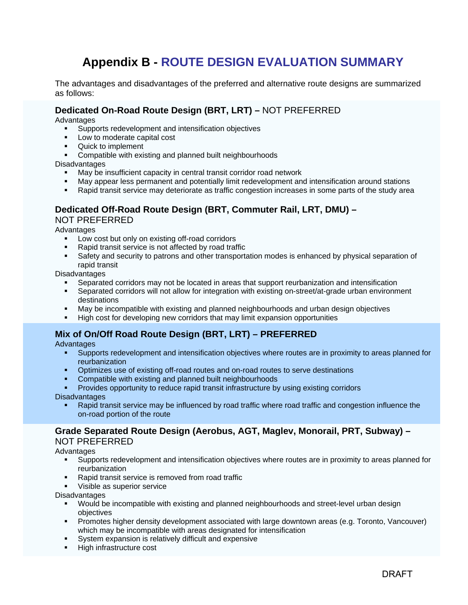### **Appendix B - ROUTE DESIGN EVALUATION SUMMARY**

The advantages and disadvantages of the preferred and alternative route designs are summarized as follows:

#### **Dedicated On-Road Route Design (BRT, LRT) –** NOT PREFERRED

Advantages

- Supports redevelopment and intensification objectives
- **Low to moderate capital cost**
- Quick to implement
- Compatible with existing and planned built neighbourhoods

**Disadvantages** 

- May be insufficient capacity in central transit corridor road network
- May appear less permanent and potentially limit redevelopment and intensification around stations
- Rapid transit service may deteriorate as traffic congestion increases in some parts of the study area

#### **Dedicated Off-Road Route Design (BRT, Commuter Rail, LRT, DMU) –**

NOT PREFERRED

**Advantages** 

- **Low cost but only on existing off-road corridors**
- Rapid transit service is not affected by road traffic
- Safety and security to patrons and other transportation modes is enhanced by physical separation of rapid transit

**Disadvantages** 

- Separated corridors may not be located in areas that support reurbanization and intensification
- Separated corridors will not allow for integration with existing on-street/at-grade urban environment destinations
- May be incompatible with existing and planned neighbourhoods and urban design objectives
- High cost for developing new corridors that may limit expansion opportunities

#### **Mix of On/Off Road Route Design (BRT, LRT) – PREFERRED**

Advantages

- Supports redevelopment and intensification objectives where routes are in proximity to areas planned for reurbanization
- **•** Optimizes use of existing off-road routes and on-road routes to serve destinations
- Compatible with existing and planned built neighbourhoods
- Provides opportunity to reduce rapid transit infrastructure by using existing corridors

**Disadvantages** 

 Rapid transit service may be influenced by road traffic where road traffic and congestion influence the on-road portion of the route

#### **Grade Separated Route Design (Aerobus, AGT, Maglev, Monorail, PRT, Subway) –** NOT PREFERRED

**Advantages** 

- Supports redevelopment and intensification objectives where routes are in proximity to areas planned for reurbanization
- **Rapid transit service is removed from road traffic**
- Visible as superior service

**Disadvantages** 

- Would be incompatible with existing and planned neighbourhoods and street-level urban design objectives
- Promotes higher density development associated with large downtown areas (e.g. Toronto, Vancouver) which may be incompatible with areas designated for intensification
- System expansion is relatively difficult and expensive
- High infrastructure cost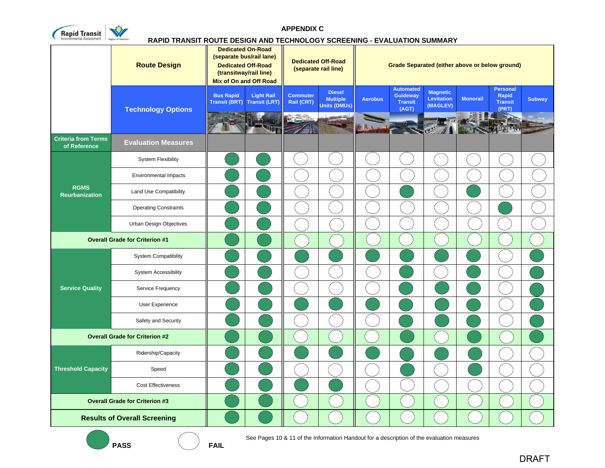

**APPENDIX C**

#### **RAPID TRANSIT ROUTE DESIGN AND TECHNOLOGY SCREENING - EVALUATION SUMMARY**

|                                            | <b>Route Design</b>                   | <b>Dedicated On-Road</b><br>(separate bus/rail lane)<br><b>Dedicated Off-Road</b><br>(transitway/rail line) | <b>Mix of On and Off Road</b>             |                               | <b>Dedicated Off-Road</b><br>(separate rail line) |                | Grade Separated (either above or below ground)                 |                                                  |                 |                                                     |               |
|--------------------------------------------|---------------------------------------|-------------------------------------------------------------------------------------------------------------|-------------------------------------------|-------------------------------|---------------------------------------------------|----------------|----------------------------------------------------------------|--------------------------------------------------|-----------------|-----------------------------------------------------|---------------|
|                                            | <b>Technology Options</b>             | <b>Bus Rapid</b><br><b>Transit (BRT)</b>                                                                    | <b>Light Rail</b><br><b>Transit (LRT)</b> | <b>Commuter</b><br>Rail (CRT) | <b>Diesel</b><br><b>Multiple</b><br>Units (DMUs)  | <b>Aerobus</b> | <b>Automated</b><br><b>Guideway</b><br><b>Transit</b><br>(AGT) | <b>Magnetic</b><br><b>Levitation</b><br>(MAGLEV) | <b>Monorail</b> | <b>Personal</b><br>Rapid<br><b>Transit</b><br>(PRT) | <b>Subway</b> |
|                                            |                                       |                                                                                                             |                                           |                               |                                                   |                |                                                                |                                                  |                 |                                                     |               |
| <b>Criteria from Terms</b><br>of Reference | <b>Evaluation Measures</b>            |                                                                                                             |                                           |                               |                                                   |                |                                                                |                                                  |                 |                                                     |               |
|                                            | <b>System Flexibility</b>             |                                                                                                             |                                           |                               |                                                   |                |                                                                |                                                  |                 |                                                     |               |
|                                            | Environmental Impacts                 |                                                                                                             |                                           |                               |                                                   |                |                                                                |                                                  |                 |                                                     |               |
| <b>RGMS</b><br><b>Reurbanization</b>       | Land Use Compatibility                |                                                                                                             |                                           |                               |                                                   |                |                                                                |                                                  |                 |                                                     |               |
|                                            | <b>Operating Constraints</b>          |                                                                                                             |                                           |                               |                                                   |                |                                                                |                                                  |                 |                                                     |               |
|                                            | <b>Urban Design Objectives</b>        |                                                                                                             |                                           |                               |                                                   |                |                                                                |                                                  |                 |                                                     |               |
|                                            | <b>Overall Grade for Criterion #1</b> |                                                                                                             |                                           |                               |                                                   |                |                                                                |                                                  |                 |                                                     |               |
|                                            | <b>System Compatibility</b>           |                                                                                                             |                                           |                               |                                                   |                |                                                                |                                                  |                 |                                                     |               |
|                                            | <b>System Accessibility</b>           |                                                                                                             |                                           |                               |                                                   |                |                                                                |                                                  |                 |                                                     |               |
| <b>Service Quality</b>                     | Service Frequency                     |                                                                                                             |                                           |                               |                                                   |                |                                                                |                                                  |                 |                                                     |               |
|                                            | User Experience                       |                                                                                                             |                                           |                               |                                                   |                |                                                                |                                                  |                 |                                                     |               |
|                                            | Safety and Security                   |                                                                                                             |                                           |                               |                                                   |                |                                                                |                                                  |                 |                                                     |               |
| <b>Overall Grade for Criterion #2</b>      |                                       |                                                                                                             |                                           |                               |                                                   |                |                                                                |                                                  |                 |                                                     |               |
|                                            | Ridership/Capacity                    |                                                                                                             |                                           |                               |                                                   |                |                                                                |                                                  |                 |                                                     |               |
| <b>Threshold Capacity</b>                  | Speed                                 |                                                                                                             |                                           |                               |                                                   |                |                                                                |                                                  |                 |                                                     |               |
|                                            | <b>Cost Effectiveness</b>             |                                                                                                             |                                           |                               |                                                   |                |                                                                |                                                  |                 |                                                     |               |
|                                            | <b>Overall Grade for Criterion #3</b> |                                                                                                             |                                           |                               |                                                   |                |                                                                |                                                  |                 |                                                     |               |
|                                            | <b>Results of Overall Screening</b>   |                                                                                                             |                                           |                               |                                                   |                |                                                                |                                                  |                 |                                                     |               |

**PASS FAIL**

**FAIL** 

See Pages 10 & 11 of the Information Handout for a description of the evaluation measures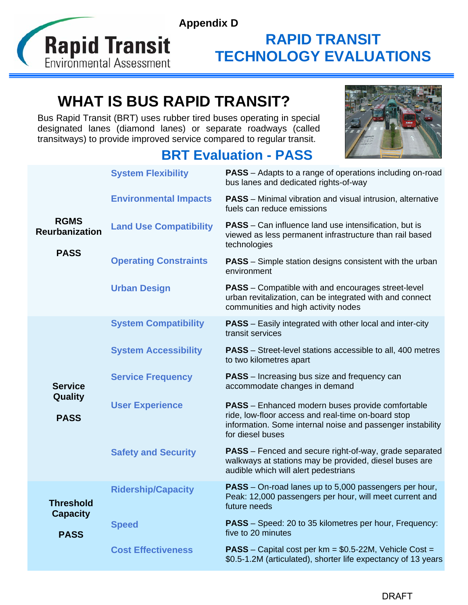

# **WHAT IS BUS RAPID TRANSIT?**

Bus Rapid Transit (BRT) uses rubber tired buses operating in special designated lanes (diamond lanes) or separate roadways (called transitways) to provide improved service compared to regular transit.

### **BRT Evaluation - PASS**



|                                      | <b>System Flexibility</b>     | PASS - Adapts to a range of operations including on-road<br>bus lanes and dedicated rights-of-way                                                                                               |
|--------------------------------------|-------------------------------|-------------------------------------------------------------------------------------------------------------------------------------------------------------------------------------------------|
|                                      | <b>Environmental Impacts</b>  | <b>PASS</b> – Minimal vibration and visual intrusion, alternative<br>fuels can reduce emissions                                                                                                 |
| <b>RGMS</b><br><b>Reurbanization</b> | <b>Land Use Compatibility</b> | <b>PASS</b> – Can influence land use intensification, but is<br>viewed as less permanent infrastructure than rail based<br>technologies                                                         |
| <b>PASS</b>                          | <b>Operating Constraints</b>  | <b>PASS</b> – Simple station designs consistent with the urban<br>environment                                                                                                                   |
|                                      | <b>Urban Design</b>           | <b>PASS</b> – Compatible with and encourages street-level<br>urban revitalization, can be integrated with and connect<br>communities and high activity nodes                                    |
|                                      | <b>System Compatibility</b>   | <b>PASS</b> – Easily integrated with other local and inter-city<br>transit services                                                                                                             |
|                                      | <b>System Accessibility</b>   | <b>PASS</b> – Street-level stations accessible to all, 400 metres<br>to two kilometres apart                                                                                                    |
| <b>Service</b>                       | <b>Service Frequency</b>      | <b>PASS</b> – Increasing bus size and frequency can<br>accommodate changes in demand                                                                                                            |
| Quality<br><b>PASS</b>               | <b>User Experience</b>        | <b>PASS</b> - Enhanced modern buses provide comfortable<br>ride, low-floor access and real-time on-board stop<br>information. Some internal noise and passenger instability<br>for diesel buses |
|                                      | <b>Safety and Security</b>    | <b>PASS</b> – Fenced and secure right-of-way, grade separated<br>walkways at stations may be provided, diesel buses are<br>audible which will alert pedestrians                                 |
| <b>Threshold</b><br><b>Capacity</b>  | <b>Ridership/Capacity</b>     | <b>PASS</b> – On-road lanes up to 5,000 passengers per hour,<br>Peak: 12,000 passengers per hour, will meet current and<br>future needs                                                         |
| <b>PASS</b>                          | <b>Speed</b>                  | <b>PASS</b> – Speed: 20 to 35 kilometres per hour, Frequency:<br>five to 20 minutes                                                                                                             |
|                                      | <b>Cost Effectiveness</b>     | <b>PASS</b> – Capital cost per $km = $0.5-22M$ , Vehicle Cost =<br>\$0.5-1.2M (articulated), shorter life expectancy of 13 years                                                                |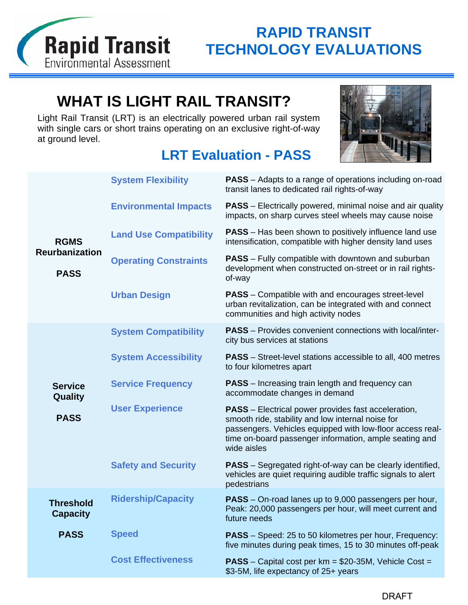

# **WHAT IS LIGHT RAIL TRANSIT?**

Light Rail Transit (LRT) is an electrically powered urban rail system with single cars or short trains operating on an exclusive right-of-way at ground level.

## **LRT Evaluation - PASS**



|                                      | <b>System Flexibility</b>     | <b>PASS</b> – Adapts to a range of operations including on-road<br>transit lanes to dedicated rail rights-of-way                                                                                                                                      |
|--------------------------------------|-------------------------------|-------------------------------------------------------------------------------------------------------------------------------------------------------------------------------------------------------------------------------------------------------|
|                                      | <b>Environmental Impacts</b>  | <b>PASS</b> – Electrically powered, minimal noise and air quality<br>impacts, on sharp curves steel wheels may cause noise                                                                                                                            |
| <b>RGMS</b>                          | <b>Land Use Compatibility</b> | <b>PASS</b> – Has been shown to positively influence land use<br>intensification, compatible with higher density land uses                                                                                                                            |
| <b>Reurbanization</b><br><b>PASS</b> | <b>Operating Constraints</b>  | <b>PASS</b> – Fully compatible with downtown and suburban<br>development when constructed on-street or in rail rights-<br>of-way                                                                                                                      |
|                                      | <b>Urban Design</b>           | <b>PASS</b> – Compatible with and encourages street-level<br>urban revitalization, can be integrated with and connect<br>communities and high activity nodes                                                                                          |
|                                      | <b>System Compatibility</b>   | <b>PASS</b> – Provides convenient connections with local/inter-<br>city bus services at stations                                                                                                                                                      |
|                                      | <b>System Accessibility</b>   | <b>PASS</b> – Street-level stations accessible to all, 400 metres<br>to four kilometres apart                                                                                                                                                         |
| <b>Service</b><br>Quality            | <b>Service Frequency</b>      | <b>PASS</b> – Increasing train length and frequency can<br>accommodate changes in demand                                                                                                                                                              |
| <b>PASS</b>                          | <b>User Experience</b>        | <b>PASS</b> – Electrical power provides fast acceleration,<br>smooth ride, stability and low internal noise for<br>passengers. Vehicles equipped with low-floor access real-<br>time on-board passenger information, ample seating and<br>wide aisles |
|                                      | <b>Safety and Security</b>    | <b>PASS</b> – Segregated right-of-way can be clearly identified,<br>vehicles are quiet requiring audible traffic signals to alert<br>pedestrians                                                                                                      |
| <b>Threshold</b><br><b>Capacity</b>  | <b>Ridership/Capacity</b>     | PASS - On-road lanes up to 9,000 passengers per hour,<br>Peak: 20,000 passengers per hour, will meet current and<br>future needs                                                                                                                      |
| <b>PASS</b>                          | <b>Speed</b>                  | <b>PASS</b> – Speed: 25 to 50 kilometres per hour, Frequency:<br>five minutes during peak times, 15 to 30 minutes off-peak                                                                                                                            |
|                                      | <b>Cost Effectiveness</b>     | <b>PASS</b> – Capital cost per $km = $20-35M$ , Vehicle Cost =<br>\$3-5M, life expectancy of 25+ years                                                                                                                                                |
|                                      |                               |                                                                                                                                                                                                                                                       |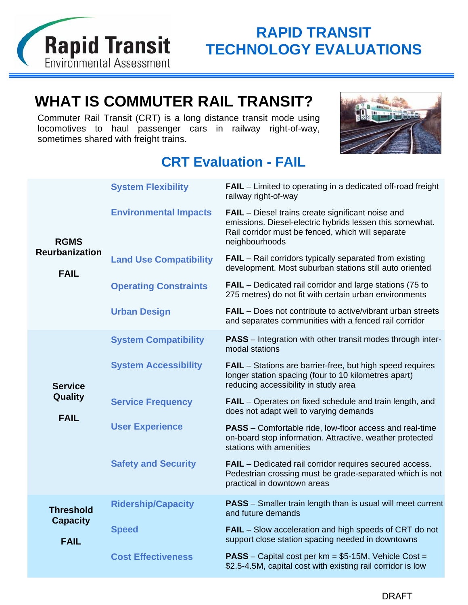

# **WHAT IS COMMUTER RAIL TRANSIT?**

Commuter Rail Transit (CRT) is a long distance transit mode using locomotives to haul passenger cars in railway right-of-way, sometimes shared with freight trains.



## **CRT Evaluation - FAIL**

|                                          | <b>System Flexibility</b>     | <b>FAIL</b> – Limited to operating in a dedicated off-road freight<br>railway right-of-way                                                                                                  |
|------------------------------------------|-------------------------------|---------------------------------------------------------------------------------------------------------------------------------------------------------------------------------------------|
| <b>RGMS</b>                              | <b>Environmental Impacts</b>  | <b>FAIL</b> – Diesel trains create significant noise and<br>emissions. Diesel-electric hybrids lessen this somewhat.<br>Rail corridor must be fenced, which will separate<br>neighbourhoods |
| <b>Reurbanization</b><br><b>FAIL</b>     | <b>Land Use Compatibility</b> | <b>FAIL</b> – Rail corridors typically separated from existing<br>development. Most suburban stations still auto oriented                                                                   |
|                                          | <b>Operating Constraints</b>  | <b>FAIL</b> – Dedicated rail corridor and large stations (75 to<br>275 metres) do not fit with certain urban environments                                                                   |
|                                          | <b>Urban Design</b>           | <b>FAIL</b> – Does not contribute to active/vibrant urban streets<br>and separates communities with a fenced rail corridor                                                                  |
|                                          | <b>System Compatibility</b>   | <b>PASS</b> – Integration with other transit modes through inter-<br>modal stations                                                                                                         |
| <b>Service</b><br>Quality<br><b>FAIL</b> | <b>System Accessibility</b>   | <b>FAIL</b> – Stations are barrier-free, but high speed requires<br>longer station spacing (four to 10 kilometres apart)<br>reducing accessibility in study area                            |
|                                          | <b>Service Frequency</b>      | <b>FAIL</b> – Operates on fixed schedule and train length, and<br>does not adapt well to varying demands                                                                                    |
|                                          | <b>User Experience</b>        | <b>PASS</b> – Comfortable ride, low-floor access and real-time<br>on-board stop information. Attractive, weather protected<br>stations with amenities                                       |
|                                          | <b>Safety and Security</b>    | <b>FAIL</b> - Dedicated rail corridor requires secured access.<br>Pedestrian crossing must be grade-separated which is not<br>practical in downtown areas                                   |
| <b>Threshold</b><br><b>Capacity</b>      | <b>Ridership/Capacity</b>     | <b>PASS</b> – Smaller train length than is usual will meet current<br>and future demands                                                                                                    |
| <b>FAIL</b>                              | <b>Speed</b>                  | <b>FAIL</b> – Slow acceleration and high speeds of CRT do not<br>support close station spacing needed in downtowns                                                                          |
|                                          | <b>Cost Effectiveness</b>     | <b>PASS</b> – Capital cost per $km = $5-15M$ , Vehicle Cost =<br>\$2.5-4.5M, capital cost with existing rail corridor is low                                                                |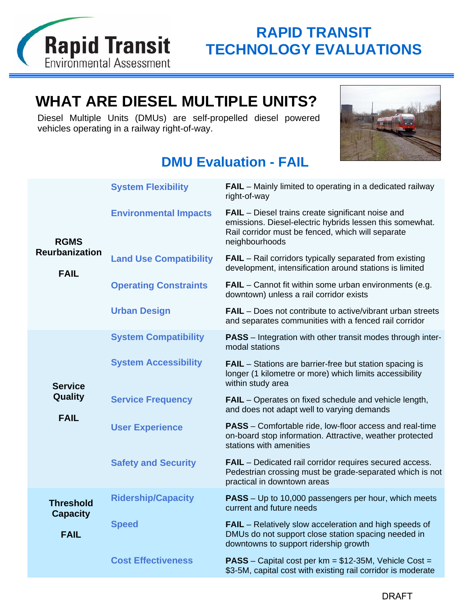

# **WHAT ARE DIESEL MULTIPLE UNITS?**

Diesel Multiple Units (DMUs) are self-propelled diesel powered vehicles operating in a railway right-of-way.



## **DMU Evaluation - FAIL**

|                                                 | <b>System Flexibility</b>     | <b>FAIL</b> – Mainly limited to operating in a dedicated railway<br>right-of-way                                                                                                            |
|-------------------------------------------------|-------------------------------|---------------------------------------------------------------------------------------------------------------------------------------------------------------------------------------------|
| <b>RGMS</b>                                     | <b>Environmental Impacts</b>  | <b>FAIL</b> – Diesel trains create significant noise and<br>emissions. Diesel-electric hybrids lessen this somewhat.<br>Rail corridor must be fenced, which will separate<br>neighbourhoods |
| <b>Reurbanization</b><br><b>FAIL</b>            | <b>Land Use Compatibility</b> | <b>FAIL</b> – Rail corridors typically separated from existing<br>development, intensification around stations is limited                                                                   |
|                                                 | <b>Operating Constraints</b>  | FAIL - Cannot fit within some urban environments (e.g.<br>downtown) unless a rail corridor exists                                                                                           |
|                                                 | <b>Urban Design</b>           | FAIL - Does not contribute to active/vibrant urban streets<br>and separates communities with a fenced rail corridor                                                                         |
|                                                 | <b>System Compatibility</b>   | <b>PASS</b> – Integration with other transit modes through inter-<br>modal stations                                                                                                         |
| <b>Service</b><br><b>Quality</b><br><b>FAIL</b> | <b>System Accessibility</b>   | <b>FAIL</b> – Stations are barrier-free but station spacing is<br>longer (1 kilometre or more) which limits accessibility<br>within study area                                              |
|                                                 | <b>Service Frequency</b>      | <b>FAIL</b> – Operates on fixed schedule and vehicle length,<br>and does not adapt well to varying demands                                                                                  |
|                                                 | <b>User Experience</b>        | <b>PASS</b> – Comfortable ride, low-floor access and real-time<br>on-board stop information. Attractive, weather protected<br>stations with amenities                                       |
|                                                 | <b>Safety and Security</b>    | <b>FAIL</b> – Dedicated rail corridor requires secured access.<br>Pedestrian crossing must be grade-separated which is not<br>practical in downtown areas                                   |
| <b>Threshold</b><br><b>Capacity</b>             | <b>Ridership/Capacity</b>     | <b>PASS</b> – Up to 10,000 passengers per hour, which meets<br>current and future needs                                                                                                     |
| <b>FAIL</b>                                     | <b>Speed</b>                  | <b>FAIL</b> – Relatively slow acceleration and high speeds of<br>DMUs do not support close station spacing needed in<br>downtowns to support ridership growth                               |
|                                                 | <b>Cost Effectiveness</b>     | <b>PASS</b> – Capital cost per $km = $12-35M$ , Vehicle Cost =<br>\$3-5M, capital cost with existing rail corridor is moderate                                                              |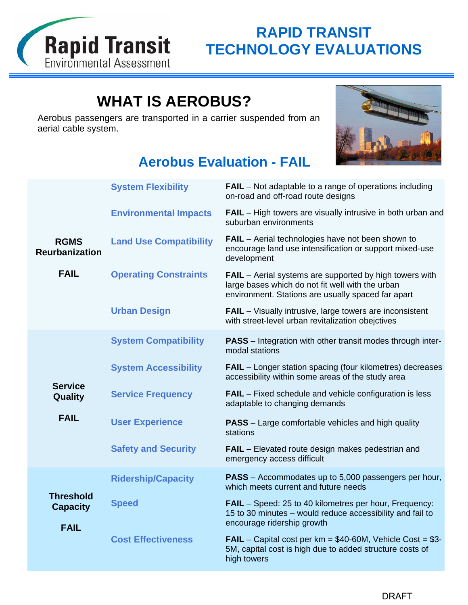

# **WHAT IS AEROBUS?**

Aerobus passengers are transported in a carrier suspended from an aerial cable system.



## **Aerobus Evaluation - FAIL**

|                                                    | <b>System Flexibility</b>     | <b>FAIL</b> – Not adaptable to a range of operations including<br>on-road and off-road route designs                                                              |
|----------------------------------------------------|-------------------------------|-------------------------------------------------------------------------------------------------------------------------------------------------------------------|
|                                                    | <b>Environmental Impacts</b>  | <b>FAIL</b> – High towers are visually intrusive in both urban and<br>suburban environments                                                                       |
| <b>RGMS</b><br><b>Reurbanization</b>               | <b>Land Use Compatibility</b> | <b>FAIL</b> – Aerial technologies have not been shown to<br>encourage land use intensification or support mixed-use<br>development                                |
| <b>FAIL</b>                                        | <b>Operating Constraints</b>  | FAIL - Aerial systems are supported by high towers with<br>large bases which do not fit well with the urban<br>environment. Stations are usually spaced far apart |
|                                                    | <b>Urban Design</b>           | <b>FAIL</b> - Visually intrusive, large towers are inconsistent<br>with street-level urban revitalization obejctives                                              |
|                                                    | <b>System Compatibility</b>   | <b>PASS</b> – Integration with other transit modes through inter-<br>modal stations                                                                               |
|                                                    | <b>System Accessibility</b>   | <b>FAIL</b> – Longer station spacing (four kilometres) decreases<br>accessibility within some areas of the study area                                             |
| <b>Service</b><br><b>Quality</b>                   | <b>Service Frequency</b>      | <b>FAIL</b> – Fixed schedule and vehicle configuration is less<br>adaptable to changing demands                                                                   |
| <b>FAIL</b>                                        | <b>User Experience</b>        | <b>PASS</b> – Large comfortable vehicles and high quality<br>stations                                                                                             |
|                                                    | <b>Safety and Security</b>    | <b>FAIL</b> – Elevated route design makes pedestrian and<br>emergency access difficult                                                                            |
|                                                    | <b>Ridership/Capacity</b>     | PASS - Accommodates up to 5,000 passengers per hour,<br>which meets current and future needs                                                                      |
| <b>Threshold</b><br><b>Capacity</b><br><b>FAIL</b> | <b>Speed</b>                  | <b>FAIL</b> – Speed: 25 to 40 kilometres per hour, Frequency:<br>15 to 30 minutes - would reduce accessibility and fail to<br>encourage ridership growth          |
|                                                    | <b>Cost Effectiveness</b>     | <b>FAIL</b> – Capital cost per $km = $40-60M$ , Vehicle Cost = $$3-$<br>5M, capital cost is high due to added structure costs of<br>high towers                   |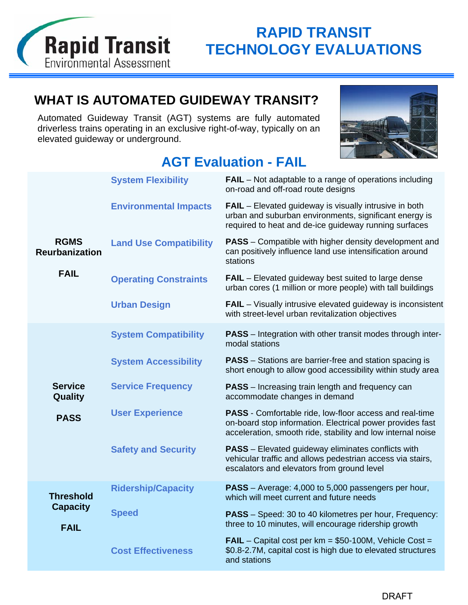

## **WHAT IS AUTOMATED GUIDEWAY TRANSIT?**

Automated Guideway Transit (AGT) systems are fully automated driverless trains operating in an exclusive right-of-way, typically on an elevated guideway or underground.



### **AGT Evaluation - FAIL**

|                                      | <b>System Flexibility</b>     | <b>FAIL</b> – Not adaptable to a range of operations including<br>on-road and off-road route designs                                                                                |
|--------------------------------------|-------------------------------|-------------------------------------------------------------------------------------------------------------------------------------------------------------------------------------|
|                                      | <b>Environmental Impacts</b>  | <b>FAIL</b> – Elevated guideway is visually intrusive in both<br>urban and suburban environments, significant energy is<br>required to heat and de-ice guideway running surfaces    |
| <b>RGMS</b><br><b>Reurbanization</b> | <b>Land Use Compatibility</b> | <b>PASS</b> – Compatible with higher density development and<br>can positively influence land use intensification around<br>stations                                                |
| <b>FAIL</b>                          | <b>Operating Constraints</b>  | <b>FAIL</b> – Elevated guideway best suited to large dense<br>urban cores (1 million or more people) with tall buildings                                                            |
|                                      | <b>Urban Design</b>           | <b>FAIL</b> – Visually intrusive elevated guideway is inconsistent<br>with street-level urban revitalization objectives                                                             |
|                                      | <b>System Compatibility</b>   | <b>PASS</b> – Integration with other transit modes through inter-<br>modal stations                                                                                                 |
|                                      | <b>System Accessibility</b>   | <b>PASS</b> – Stations are barrier-free and station spacing is<br>short enough to allow good accessibility within study area                                                        |
| <b>Service</b><br>Quality            | <b>Service Frequency</b>      | <b>PASS</b> – Increasing train length and frequency can<br>accommodate changes in demand                                                                                            |
| <b>PASS</b>                          | <b>User Experience</b>        | PASS - Comfortable ride, low-floor access and real-time<br>on-board stop information. Electrical power provides fast<br>acceleration, smooth ride, stability and low internal noise |
|                                      | <b>Safety and Security</b>    | <b>PASS</b> – Elevated guideway eliminates conflicts with<br>vehicular traffic and allows pedestrian access via stairs,<br>escalators and elevators from ground level               |
| <b>Threshold</b>                     | <b>Ridership/Capacity</b>     | PASS - Average: 4,000 to 5,000 passengers per hour,<br>which will meet current and future needs                                                                                     |
| <b>Capacity</b><br><b>FAIL</b>       | <b>Speed</b>                  | <b>PASS</b> – Speed: 30 to 40 kilometres per hour, Frequency:<br>three to 10 minutes, will encourage ridership growth                                                               |
|                                      | <b>Cost Effectiveness</b>     | <b>FAIL</b> – Capital cost per $km = $50-100M$ , Vehicle Cost =<br>\$0.8-2.7M, capital cost is high due to elevated structures<br>and stations                                      |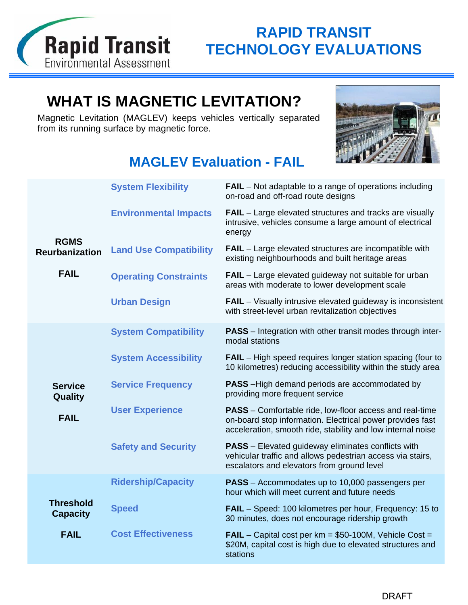

# **WHAT IS MAGNETIC LEVITATION?**

Magnetic Levitation (MAGLEV) keeps vehicles vertically separated from its running surface by magnetic force.



## **MAGLEV Evaluation - FAIL**

| <b>System Flexibility</b><br><b>FAIL</b> – Not adaptable to a range of operations including<br>on-road and off-road route designs<br><b>Environmental Impacts</b><br><b>FAIL</b> – Large elevated structures and tracks are visually<br>intrusive, vehicles consume a large amount of electrical<br>energy<br><b>RGMS</b><br><b>FAIL</b> – Large elevated structures are incompatible with<br><b>Land Use Compatibility</b><br><b>Reurbanization</b><br>existing neighbourhoods and built heritage areas<br><b>FAIL</b><br><b>FAIL</b> – Large elevated guideway not suitable for urban<br><b>Operating Constraints</b><br>areas with moderate to lower development scale<br><b>FAIL</b> – Visually intrusive elevated guideway is inconsistent<br><b>Urban Design</b><br>with street-level urban revitalization objectives<br><b>PASS</b> – Integration with other transit modes through inter-<br><b>System Compatibility</b><br>modal stations<br><b>System Accessibility</b><br><b>FAIL</b> – High speed requires longer station spacing (four to<br>10 kilometres) reducing accessibility within the study area<br><b>Service Frequency</b><br><b>PASS</b> - High demand periods are accommodated by<br><b>Service</b><br>providing more frequent service<br>Quality<br><b>User Experience</b><br><b>PASS</b> – Comfortable ride, low-floor access and real-time<br><b>FAIL</b><br>on-board stop information. Electrical power provides fast<br>acceleration, smooth ride, stability and low internal noise<br><b>PASS</b> - Elevated guideway eliminates conflicts with<br><b>Safety and Security</b><br>vehicular traffic and allows pedestrian access via stairs,<br>escalators and elevators from ground level<br><b>Ridership/Capacity</b><br><b>PASS</b> – Accommodates up to 10,000 passengers per<br>hour which will meet current and future needs<br><b>Threshold</b><br><b>Speed</b><br><b>FAIL</b> – Speed: 100 kilometres per hour, Frequency: 15 to<br><b>Capacity</b><br>30 minutes, does not encourage ridership growth<br><b>Cost Effectiveness</b><br><b>FAIL</b><br><b>FAIL</b> – Capital cost per $km = $50-100M$ , Vehicle Cost =<br>\$20M, capital cost is high due to elevated structures and<br>stations |  |  |
|--------------------------------------------------------------------------------------------------------------------------------------------------------------------------------------------------------------------------------------------------------------------------------------------------------------------------------------------------------------------------------------------------------------------------------------------------------------------------------------------------------------------------------------------------------------------------------------------------------------------------------------------------------------------------------------------------------------------------------------------------------------------------------------------------------------------------------------------------------------------------------------------------------------------------------------------------------------------------------------------------------------------------------------------------------------------------------------------------------------------------------------------------------------------------------------------------------------------------------------------------------------------------------------------------------------------------------------------------------------------------------------------------------------------------------------------------------------------------------------------------------------------------------------------------------------------------------------------------------------------------------------------------------------------------------------------------------------------------------------------------------------------------------------------------------------------------------------------------------------------------------------------------------------------------------------------------------------------------------------------------------------------------------------------------------------------------------------------------------------------------------------------------------------------------------------------------------------------------------------|--|--|
|                                                                                                                                                                                                                                                                                                                                                                                                                                                                                                                                                                                                                                                                                                                                                                                                                                                                                                                                                                                                                                                                                                                                                                                                                                                                                                                                                                                                                                                                                                                                                                                                                                                                                                                                                                                                                                                                                                                                                                                                                                                                                                                                                                                                                                      |  |  |
|                                                                                                                                                                                                                                                                                                                                                                                                                                                                                                                                                                                                                                                                                                                                                                                                                                                                                                                                                                                                                                                                                                                                                                                                                                                                                                                                                                                                                                                                                                                                                                                                                                                                                                                                                                                                                                                                                                                                                                                                                                                                                                                                                                                                                                      |  |  |
|                                                                                                                                                                                                                                                                                                                                                                                                                                                                                                                                                                                                                                                                                                                                                                                                                                                                                                                                                                                                                                                                                                                                                                                                                                                                                                                                                                                                                                                                                                                                                                                                                                                                                                                                                                                                                                                                                                                                                                                                                                                                                                                                                                                                                                      |  |  |
|                                                                                                                                                                                                                                                                                                                                                                                                                                                                                                                                                                                                                                                                                                                                                                                                                                                                                                                                                                                                                                                                                                                                                                                                                                                                                                                                                                                                                                                                                                                                                                                                                                                                                                                                                                                                                                                                                                                                                                                                                                                                                                                                                                                                                                      |  |  |
|                                                                                                                                                                                                                                                                                                                                                                                                                                                                                                                                                                                                                                                                                                                                                                                                                                                                                                                                                                                                                                                                                                                                                                                                                                                                                                                                                                                                                                                                                                                                                                                                                                                                                                                                                                                                                                                                                                                                                                                                                                                                                                                                                                                                                                      |  |  |
|                                                                                                                                                                                                                                                                                                                                                                                                                                                                                                                                                                                                                                                                                                                                                                                                                                                                                                                                                                                                                                                                                                                                                                                                                                                                                                                                                                                                                                                                                                                                                                                                                                                                                                                                                                                                                                                                                                                                                                                                                                                                                                                                                                                                                                      |  |  |
|                                                                                                                                                                                                                                                                                                                                                                                                                                                                                                                                                                                                                                                                                                                                                                                                                                                                                                                                                                                                                                                                                                                                                                                                                                                                                                                                                                                                                                                                                                                                                                                                                                                                                                                                                                                                                                                                                                                                                                                                                                                                                                                                                                                                                                      |  |  |
|                                                                                                                                                                                                                                                                                                                                                                                                                                                                                                                                                                                                                                                                                                                                                                                                                                                                                                                                                                                                                                                                                                                                                                                                                                                                                                                                                                                                                                                                                                                                                                                                                                                                                                                                                                                                                                                                                                                                                                                                                                                                                                                                                                                                                                      |  |  |
|                                                                                                                                                                                                                                                                                                                                                                                                                                                                                                                                                                                                                                                                                                                                                                                                                                                                                                                                                                                                                                                                                                                                                                                                                                                                                                                                                                                                                                                                                                                                                                                                                                                                                                                                                                                                                                                                                                                                                                                                                                                                                                                                                                                                                                      |  |  |
|                                                                                                                                                                                                                                                                                                                                                                                                                                                                                                                                                                                                                                                                                                                                                                                                                                                                                                                                                                                                                                                                                                                                                                                                                                                                                                                                                                                                                                                                                                                                                                                                                                                                                                                                                                                                                                                                                                                                                                                                                                                                                                                                                                                                                                      |  |  |
|                                                                                                                                                                                                                                                                                                                                                                                                                                                                                                                                                                                                                                                                                                                                                                                                                                                                                                                                                                                                                                                                                                                                                                                                                                                                                                                                                                                                                                                                                                                                                                                                                                                                                                                                                                                                                                                                                                                                                                                                                                                                                                                                                                                                                                      |  |  |
|                                                                                                                                                                                                                                                                                                                                                                                                                                                                                                                                                                                                                                                                                                                                                                                                                                                                                                                                                                                                                                                                                                                                                                                                                                                                                                                                                                                                                                                                                                                                                                                                                                                                                                                                                                                                                                                                                                                                                                                                                                                                                                                                                                                                                                      |  |  |
|                                                                                                                                                                                                                                                                                                                                                                                                                                                                                                                                                                                                                                                                                                                                                                                                                                                                                                                                                                                                                                                                                                                                                                                                                                                                                                                                                                                                                                                                                                                                                                                                                                                                                                                                                                                                                                                                                                                                                                                                                                                                                                                                                                                                                                      |  |  |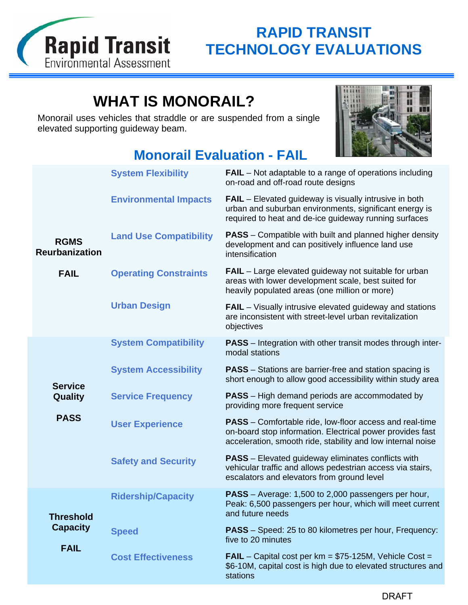

# **WHAT IS MONORAIL?**

Monorail uses vehicles that straddle or are suspended from a single elevated supporting guideway beam.



## **Monorail Evaluation - FAIL**

|                                      | <b>System Flexibility</b>     | <b>FAIL</b> – Not adaptable to a range of operations including<br>on-road and off-road route designs                                                                                       |
|--------------------------------------|-------------------------------|--------------------------------------------------------------------------------------------------------------------------------------------------------------------------------------------|
|                                      | <b>Environmental Impacts</b>  | <b>FAIL</b> – Elevated guideway is visually intrusive in both<br>urban and suburban environments, significant energy is<br>required to heat and de-ice guideway running surfaces           |
| <b>RGMS</b><br><b>Reurbanization</b> | <b>Land Use Compatibility</b> | <b>PASS</b> – Compatible with built and planned higher density<br>development and can positively influence land use<br>intensification                                                     |
| <b>FAIL</b>                          | <b>Operating Constraints</b>  | <b>FAIL</b> – Large elevated guideway not suitable for urban<br>areas with lower development scale, best suited for<br>heavily populated areas (one million or more)                       |
|                                      | <b>Urban Design</b>           | <b>FAIL</b> – Visually intrusive elevated guideway and stations<br>are inconsistent with street-level urban revitalization<br>objectives                                                   |
|                                      | <b>System Compatibility</b>   | <b>PASS</b> – Integration with other transit modes through inter-<br>modal stations                                                                                                        |
| <b>Service</b>                       | <b>System Accessibility</b>   | <b>PASS</b> – Stations are barrier-free and station spacing is<br>short enough to allow good accessibility within study area                                                               |
| Quality                              | <b>Service Frequency</b>      | <b>PASS</b> – High demand periods are accommodated by<br>providing more frequent service                                                                                                   |
| <b>PASS</b>                          | <b>User Experience</b>        | <b>PASS</b> – Comfortable ride, low-floor access and real-time<br>on-board stop information. Electrical power provides fast<br>acceleration, smooth ride, stability and low internal noise |
|                                      | <b>Safety and Security</b>    | <b>PASS</b> – Elevated guideway eliminates conflicts with<br>vehicular traffic and allows pedestrian access via stairs,<br>escalators and elevators from ground level                      |
| <b>Threshold</b>                     | <b>Ridership/Capacity</b>     | <b>PASS</b> – Average: 1,500 to 2,000 passengers per hour,<br>Peak: 6,500 passengers per hour, which will meet current<br>and future needs                                                 |
| <b>Capacity</b>                      | <b>Speed</b>                  | <b>PASS</b> – Speed: 25 to 80 kilometres per hour, Frequency:<br>five to 20 minutes                                                                                                        |
| <b>FAIL</b>                          | <b>Cost Effectiveness</b>     | <b>FAIL</b> – Capital cost per $km = $75-125M$ , Vehicle Cost =<br>\$6-10M, capital cost is high due to elevated structures and<br>stations                                                |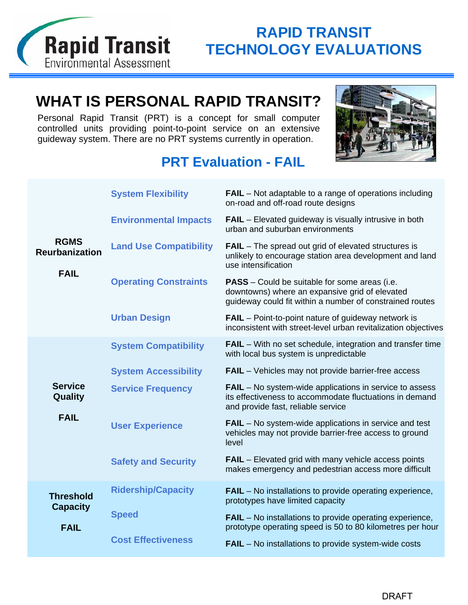

# **WHAT IS PERSONAL RAPID TRANSIT?**

Personal Rapid Transit (PRT) is a concept for small computer controlled units providing point-to-point service on an extensive guideway system. There are no PRT systems currently in operation.



## **PRT Evaluation - FAIL**

|                                                     | <b>System Flexibility</b>     | <b>FAIL</b> – Not adaptable to a range of operations including<br>on-road and off-road route designs                                                               |
|-----------------------------------------------------|-------------------------------|--------------------------------------------------------------------------------------------------------------------------------------------------------------------|
| <b>RGMS</b><br><b>Reurbanization</b><br><b>FAIL</b> | <b>Environmental Impacts</b>  | <b>FAIL</b> – Elevated guideway is visually intrusive in both<br>urban and suburban environments                                                                   |
|                                                     | <b>Land Use Compatibility</b> | <b>FAIL</b> – The spread out grid of elevated structures is<br>unlikely to encourage station area development and land<br>use intensification                      |
|                                                     | <b>Operating Constraints</b>  | <b>PASS</b> – Could be suitable for some areas (i.e.<br>downtowns) where an expansive grid of elevated<br>guideway could fit within a number of constrained routes |
|                                                     | <b>Urban Design</b>           | <b>FAIL</b> – Point-to-point nature of guideway network is<br>inconsistent with street-level urban revitalization objectives                                       |
|                                                     | <b>System Compatibility</b>   | <b>FAIL</b> – With no set schedule, integration and transfer time<br>with local bus system is unpredictable                                                        |
|                                                     | <b>System Accessibility</b>   | <b>FAIL</b> – Vehicles may not provide barrier-free access                                                                                                         |
| <b>Service</b><br>Quality                           | <b>Service Frequency</b>      | <b>FAIL</b> – No system-wide applications in service to assess<br>its effectiveness to accommodate fluctuations in demand<br>and provide fast, reliable service    |
| <b>FAIL</b>                                         | <b>User Experience</b>        | <b>FAIL</b> – No system-wide applications in service and test<br>vehicles may not provide barrier-free access to ground<br>level                                   |
|                                                     | <b>Safety and Security</b>    | <b>FAIL</b> – Elevated grid with many vehicle access points<br>makes emergency and pedestrian access more difficult                                                |
| <b>Threshold</b><br><b>Capacity</b>                 | <b>Ridership/Capacity</b>     | <b>FAIL</b> – No installations to provide operating experience,<br>prototypes have limited capacity                                                                |
| <b>FAIL</b>                                         | <b>Speed</b>                  | <b>FAIL</b> – No installations to provide operating experience,<br>prototype operating speed is 50 to 80 kilometres per hour                                       |
|                                                     | <b>Cost Effectiveness</b>     | <b>FAIL</b> – No installations to provide system-wide costs                                                                                                        |
|                                                     |                               |                                                                                                                                                                    |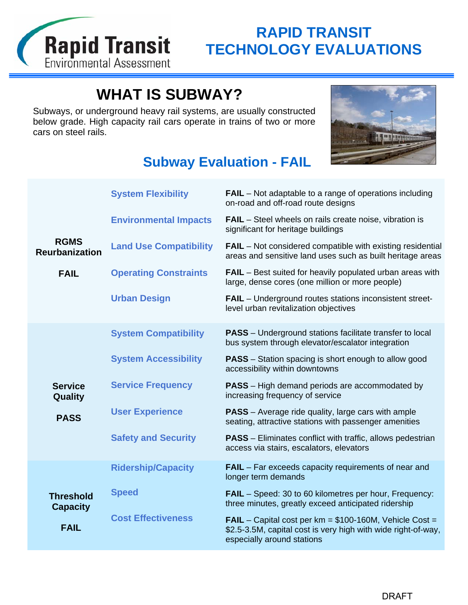

# **WHAT IS SUBWAY?**

Subways, or underground heavy rail systems, are usually constructed below grade. High capacity rail cars operate in trains of two or more cars on steel rails.



## **Subway Evaluation - FAIL**

|                                      | <b>System Flexibility</b>     | <b>FAIL</b> – Not adaptable to a range of operations including<br>on-road and off-road route designs                                                            |
|--------------------------------------|-------------------------------|-----------------------------------------------------------------------------------------------------------------------------------------------------------------|
|                                      | <b>Environmental Impacts</b>  | <b>FAIL</b> – Steel wheels on rails create noise, vibration is<br>significant for heritage buildings                                                            |
| <b>RGMS</b><br><b>Reurbanization</b> | <b>Land Use Compatibility</b> | <b>FAIL</b> – Not considered compatible with existing residential<br>areas and sensitive land uses such as built heritage areas                                 |
| <b>FAIL</b>                          | <b>Operating Constraints</b>  | <b>FAIL</b> – Best suited for heavily populated urban areas with<br>large, dense cores (one million or more people)                                             |
|                                      | <b>Urban Design</b>           | FAIL - Underground routes stations inconsistent street-<br>level urban revitalization objectives                                                                |
|                                      | <b>System Compatibility</b>   | <b>PASS</b> – Underground stations facilitate transfer to local<br>bus system through elevator/escalator integration                                            |
|                                      | <b>System Accessibility</b>   | <b>PASS</b> – Station spacing is short enough to allow good<br>accessibility within downtowns                                                                   |
| <b>Service</b><br>Quality            | <b>Service Frequency</b>      | <b>PASS</b> – High demand periods are accommodated by<br>increasing frequency of service                                                                        |
| <b>PASS</b>                          | <b>User Experience</b>        | <b>PASS</b> – Average ride quality, large cars with ample<br>seating, attractive stations with passenger amenities                                              |
|                                      | <b>Safety and Security</b>    | <b>PASS</b> – Eliminates conflict with traffic, allows pedestrian<br>access via stairs, escalators, elevators                                                   |
|                                      | <b>Ridership/Capacity</b>     | <b>FAIL</b> – Far exceeds capacity requirements of near and<br>longer term demands                                                                              |
| <b>Threshold</b><br><b>Capacity</b>  | <b>Speed</b>                  | <b>FAIL</b> – Speed: 30 to 60 kilometres per hour, Frequency:<br>three minutes, greatly exceed anticipated ridership                                            |
| <b>FAIL</b>                          | <b>Cost Effectiveness</b>     | <b>FAIL</b> – Capital cost per $km = $100-160M$ , Vehicle Cost =<br>\$2.5-3.5M, capital cost is very high with wide right-of-way,<br>especially around stations |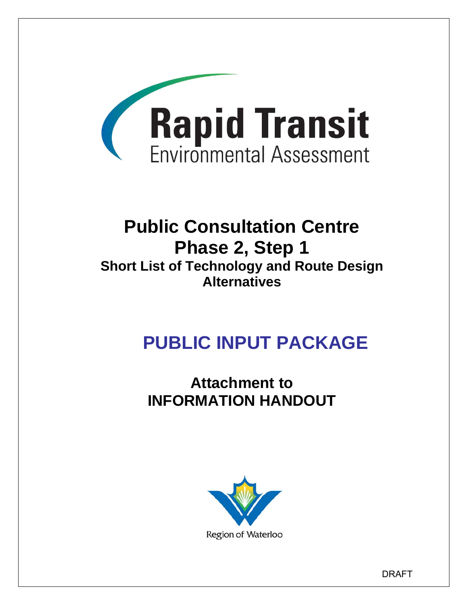

# **Public Consultation Centre Phase 2, Step 1 Short List of Technology and Route Design Alternatives**

# **PUBLIC INPUT PACKAGE**

**Attachment to INFORMATION HANDOUT** 



DRAFT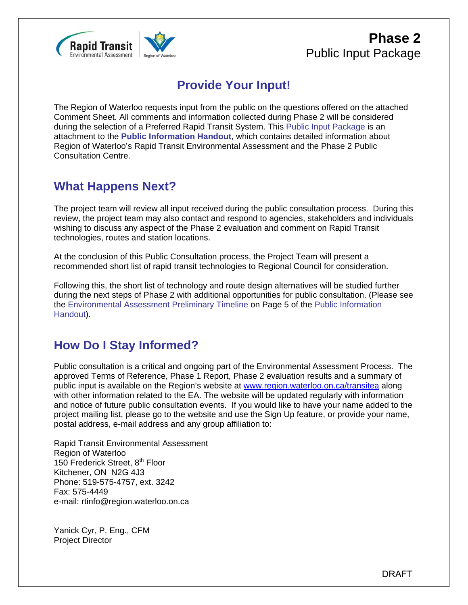

### **Phase 2** Public Input Package

## **Provide Your Input!**

The Region of Waterloo requests input from the public on the questions offered on the attached Comment Sheet. All comments and information collected during Phase 2 will be considered during the selection of a Preferred Rapid Transit System. This Public Input Package is an attachment to the **Public Information Handout**, which contains detailed information about Region of Waterloo's Rapid Transit Environmental Assessment and the Phase 2 Public Consultation Centre.

### **What Happens Next?**

The project team will review all input received during the public consultation process. During this review, the project team may also contact and respond to agencies, stakeholders and individuals wishing to discuss any aspect of the Phase 2 evaluation and comment on Rapid Transit technologies, routes and station locations.

At the conclusion of this Public Consultation process, the Project Team will present a recommended short list of rapid transit technologies to Regional Council for consideration.

Following this, the short list of technology and route design alternatives will be studied further during the next steps of Phase 2 with additional opportunities for public consultation. (Please see the Environmental Assessment Preliminary Timeline on Page 5 of the Public Information Handout).

### **How Do I Stay Informed?**

Public consultation is a critical and ongoing part of the Environmental Assessment Process. The approved Terms of Reference, Phase 1 Report, Phase 2 evaluation results and a summary of public input is available on the Region's website at www.region.waterloo.on.ca/transitea along with other information related to the EA. The website will be updated regularly with information and notice of future public consultation events. If you would like to have your name added to the project mailing list, please go to the website and use the Sign Up feature, or provide your name, postal address, e-mail address and any group affiliation to:

Rapid Transit Environmental Assessment Region of Waterloo 150 Frederick Street, 8<sup>th</sup> Floor Kitchener, ON N2G 4J3 Phone: 519-575-4757, ext. 3242 Fax: 575-4449 e-mail: rtinfo@region.waterloo.on.ca

Yanick Cyr, P. Eng., CFM Project Director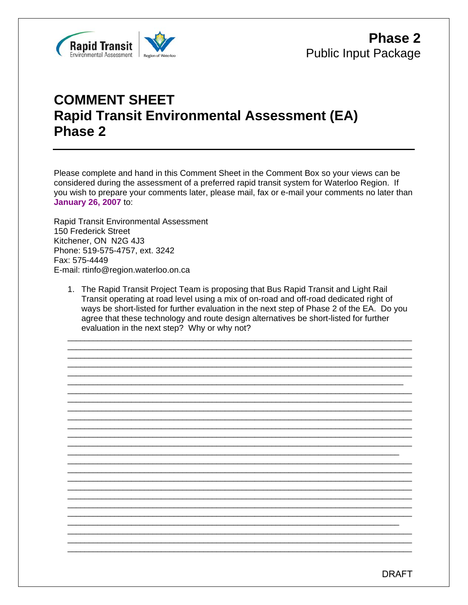

## **COMMENT SHEET Rapid Transit Environmental Assessment (EA)** Phase 2

Please complete and hand in this Comment Sheet in the Comment Box so your views can be considered during the assessment of a preferred rapid transit system for Waterloo Region. If you wish to prepare your comments later, please mail, fax or e-mail your comments no later than **January 26, 2007 to:** 

**Rapid Transit Environmental Assessment** 150 Frederick Street Kitchener, ON N2G 4J3 Phone: 519-575-4757, ext. 3242 Fax: 575-4449 E-mail: rtinfo@region.waterloo.on.ca

1. The Rapid Transit Project Team is proposing that Bus Rapid Transit and Light Rail Transit operating at road level using a mix of on-road and off-road dedicated right of ways be short-listed for further evaluation in the next step of Phase 2 of the EA. Do you agree that these technology and route design alternatives be short-listed for further evaluation in the next step? Why or why not?

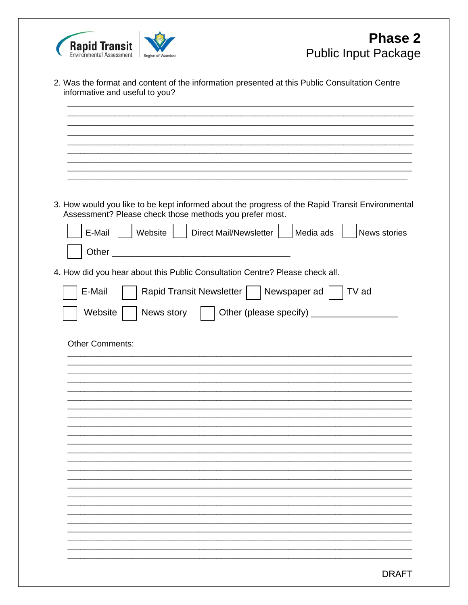

|        | 3. How would you like to be kept informed about the progress of the Rapid Transit Environmental<br>Assessment? Please check those methods you prefer most. |
|--------|------------------------------------------------------------------------------------------------------------------------------------------------------------|
| E-Mail | Direct Mail/Newsletter<br>Website<br>Media ads<br>News stories                                                                                             |
|        |                                                                                                                                                            |
| Other  | <u> 1980 - Jan Barbarat, martin da shekara 1980 - A</u>                                                                                                    |
|        | 4. How did you hear about this Public Consultation Centre? Please check all.                                                                               |
| E-Mail | Rapid Transit Newsletter  <br>Newspaper ad<br>TV ad                                                                                                        |
|        |                                                                                                                                                            |
|        | Other (please specify) ___<br>Website<br>News story                                                                                                        |
|        |                                                                                                                                                            |
|        | <b>Other Comments:</b>                                                                                                                                     |
|        |                                                                                                                                                            |
|        |                                                                                                                                                            |
|        |                                                                                                                                                            |
|        |                                                                                                                                                            |
|        |                                                                                                                                                            |
|        |                                                                                                                                                            |
|        |                                                                                                                                                            |
|        |                                                                                                                                                            |
|        |                                                                                                                                                            |
|        |                                                                                                                                                            |
|        |                                                                                                                                                            |
|        |                                                                                                                                                            |
|        |                                                                                                                                                            |